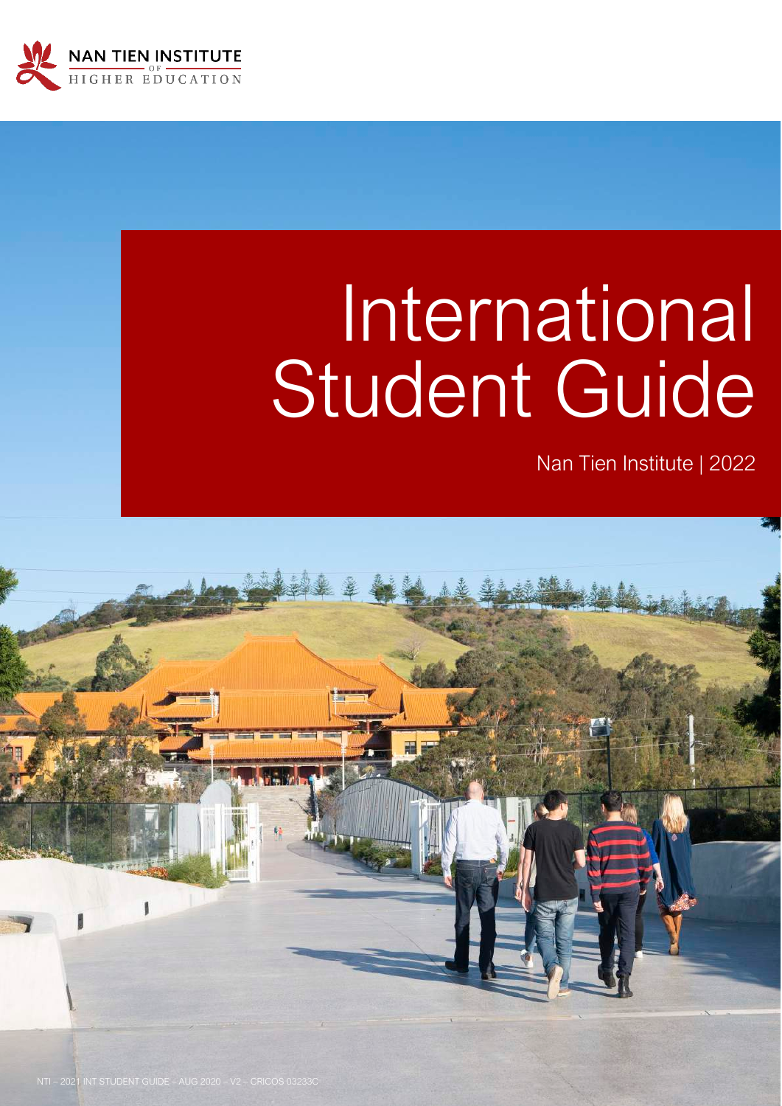

# International Student Guide

Nan Tien Institute | 2022

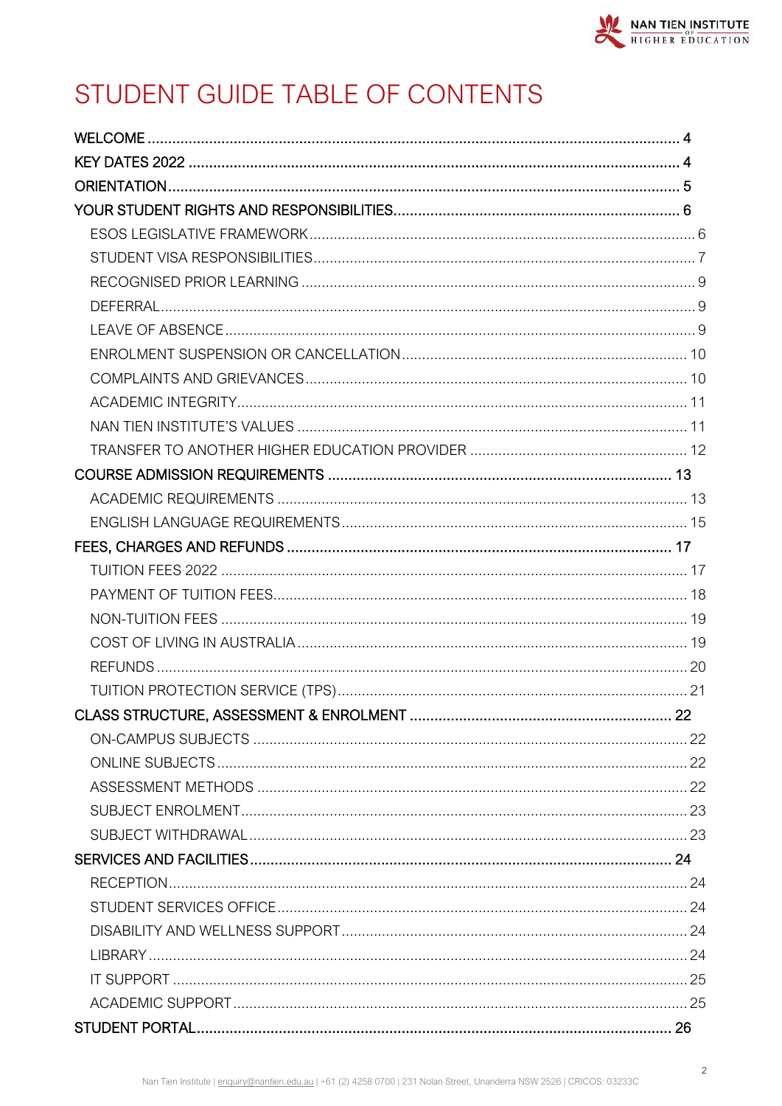# STUDENT GUIDE TABLE OF CONTENTS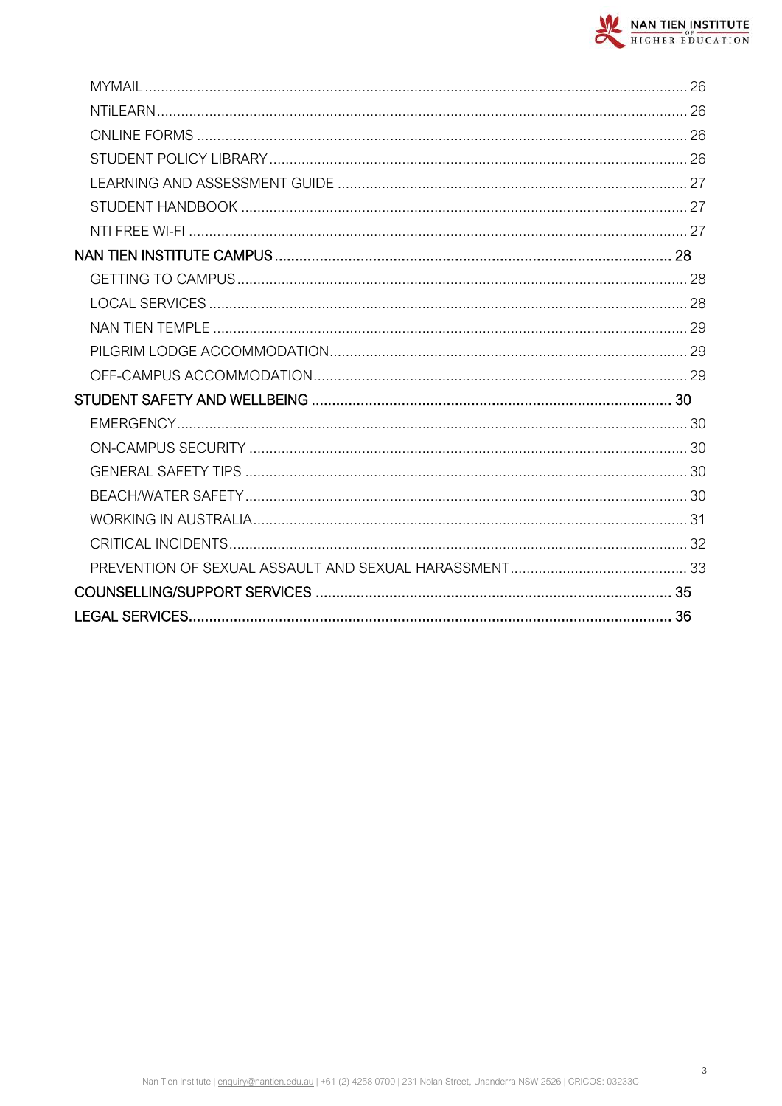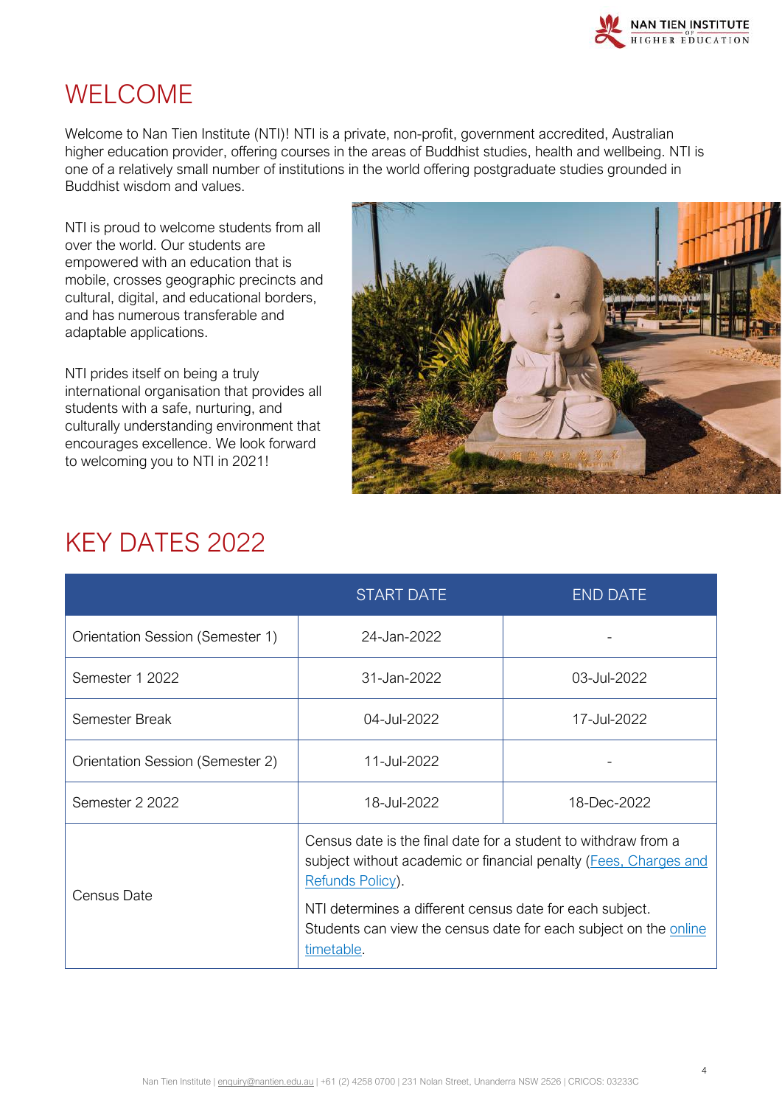

# <span id="page-3-0"></span>WELCOME

Welcome to Nan Tien Institute (NTI)! NTI is a private, non-profit, government accredited, Australian higher education provider, offering courses in the areas of Buddhist studies, health and wellbeing. NTI is one of a relatively small number of institutions in the world offering postgraduate studies grounded in Buddhist wisdom and values.

NTI is proud to welcome students from all over the world. Our students are empowered with an education that is mobile, crosses geographic precincts and cultural, digital, and educational borders, and has numerous transferable and adaptable applications.

NTI prides itself on being a truly international organisation that provides all students with a safe, nurturing, and culturally understanding environment that encourages excellence. We look forward to welcoming you to NTI in 2021!



# <span id="page-3-1"></span>KEY DATES 2022

|                                  | <b>START DATE</b>                                                                                                                                                                                                                                                                                    | <b>END DATE</b> |
|----------------------------------|------------------------------------------------------------------------------------------------------------------------------------------------------------------------------------------------------------------------------------------------------------------------------------------------------|-----------------|
| Orientation Session (Semester 1) | 24-Jan-2022                                                                                                                                                                                                                                                                                          |                 |
| Semester 1 2022                  | 31-Jan-2022                                                                                                                                                                                                                                                                                          | 03-Jul-2022     |
| Semester Break                   | 04-Jul-2022                                                                                                                                                                                                                                                                                          | 17-Jul-2022     |
| Orientation Session (Semester 2) | 11-Jul-2022                                                                                                                                                                                                                                                                                          |                 |
| Semester 2 2022                  | 18-Jul-2022                                                                                                                                                                                                                                                                                          | 18-Dec-2022     |
| Census Date                      | Census date is the final date for a student to withdraw from a<br>subject without academic or financial penalty (Fees, Charges and<br>Refunds Policy).<br>NTI determines a different census date for each subject.<br>Students can view the census date for each subject on the online<br>timetable. |                 |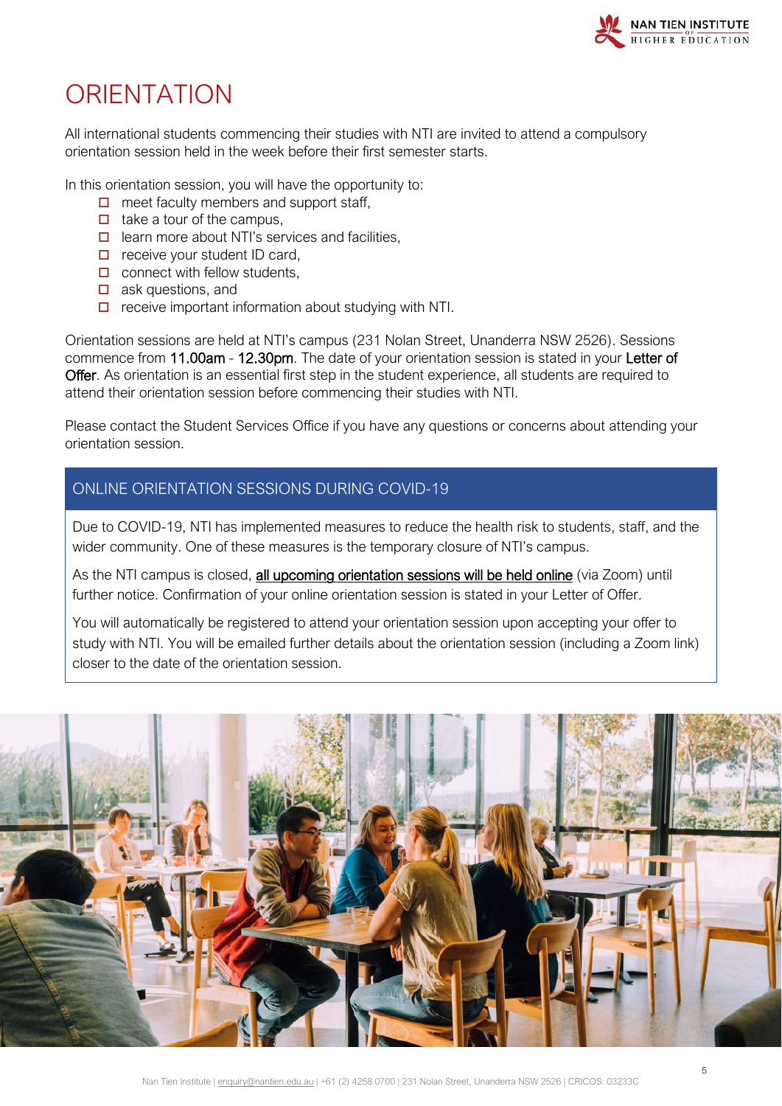

# <span id="page-4-0"></span>**ORIENTATION**

All international students commencing their studies with NTI are invited to attend a compulsory orientation session held in the week before their first semester starts.

In this orientation session, you will have the opportunity to:

- $\Box$  meet faculty members and support staff,
- $\Box$  take a tour of the campus.
- $\Box$  learn more about NTI's services and facilities,
- $\Box$  receive your student ID card,
- $\Box$  connect with fellow students,
- $\Box$  ask questions, and
- $\Box$  receive important information about studying with NTI.

Orientation sessions are held at NTI's campus (231 Nolan Street, Unanderra NSW 2526). Sessions commence from 11.00am - 12.30pm. The date of your orientation session is stated in your Letter of Offer. As orientation is an essential first step in the student experience, all students are required to attend their orientation session before commencing their studies with NTI.

Please contact the Student Services Office if you have any questions or concerns about attending your orientation session.

### ONLINE ORIENTATION SESSIONS DURING COVID-19

Due to COVID-19, NTI has implemented measures to reduce the health risk to students, staff, and the wider community. One of these measures is the temporary closure of NTI's campus.

As the NTI campus is closed, all upcoming orientation sessions will be held online (via Zoom) until further notice. Confirmation of your online orientation session is stated in your Letter of Offer.

You will automatically be registered to attend your orientation session upon accepting your offer to study with NTI. You will be emailed further details about the orientation session (including a Zoom link) closer to the date of the orientation session.

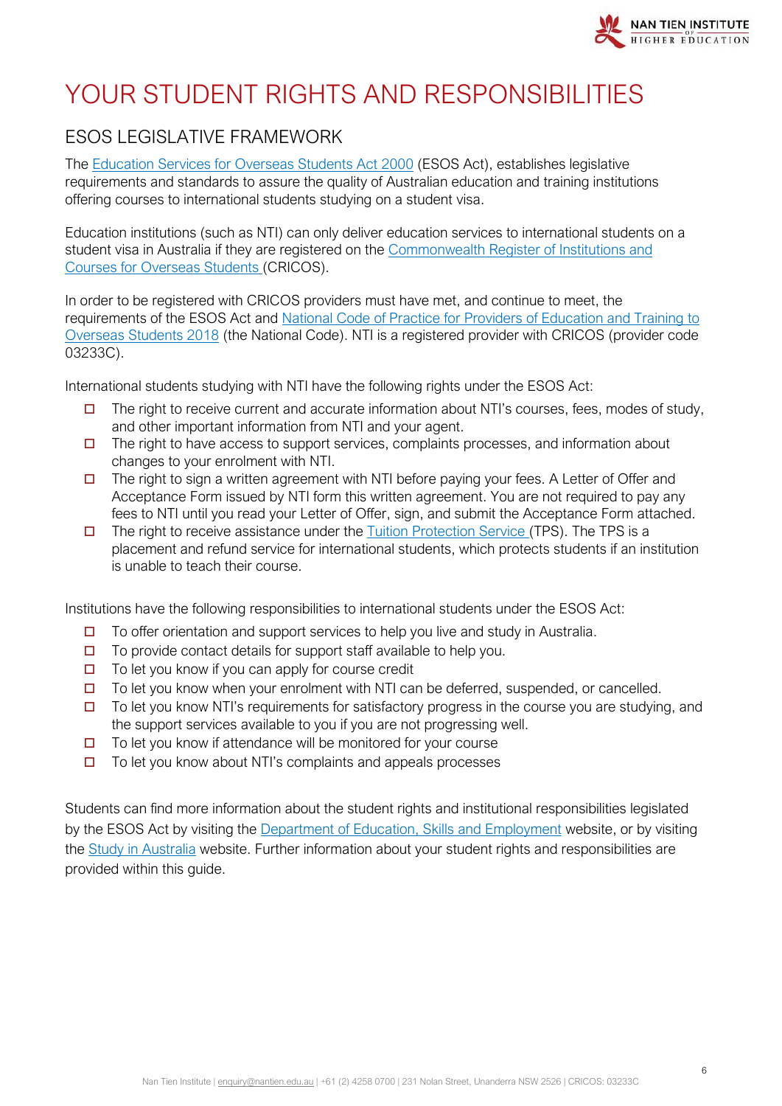

# <span id="page-5-0"></span>YOUR STUDENT RIGHTS AND RESPONSIBILITIES

# <span id="page-5-1"></span>ESOS LEGISLATIVE FRAMEWORK

The [Education Services for Overseas Students Act 2000](https://internationaleducation.gov.au/regulatory-information/pages/regulatoryinformation.aspx) (ESOS Act), establishes legislative requirements and standards to assure the quality of Australian education and training institutions offering courses to international students studying on a student visa.

Education institutions (such as NTI) can only deliver education services to international students on a student visa in Australia if they are registered on the Commonwealth Register of Institutions and [Courses for Overseas Students](https://cricos.education.gov.au/default.aspx) (CRICOS).

In order to be registered with CRICOS providers must have met, and continue to meet, the requirements of the ESOS Act and [National Code of Practice for Providers of Education and Training to](https://internationaleducation.gov.au/Regulatory-Information/Pages/National-Code-2018-Factsheets-.aspx)  [Overseas Students 2018](https://internationaleducation.gov.au/Regulatory-Information/Pages/National-Code-2018-Factsheets-.aspx) (the National Code). NTI is a registered provider with CRICOS (provider code 03233C).

International students studying with NTI have the following rights under the ESOS Act:

- $\Box$  The right to receive current and accurate information about NTI's courses, fees, modes of study, and other important information from NTI and your agent.
- $\Box$  The right to have access to support services, complaints processes, and information about changes to your enrolment with NTI.
- $\Box$  The right to sign a written agreement with NTI before paying your fees. A Letter of Offer and Acceptance Form issued by NTI form this written agreement. You are not required to pay any fees to NTI until you read your Letter of Offer, sign, and submit the Acceptance Form attached.
- $\Box$  The right to receive assistance under the [Tuition Protection Service](https://tps.gov.au/Home) (TPS). The TPS is a placement and refund service for international students, which protects students if an institution is unable to teach their course.

Institutions have the following responsibilities to international students under the ESOS Act:

- $\Box$  To offer orientation and support services to help you live and study in Australia.
- $\Box$  To provide contact details for support staff available to help you.
- $\Box$  To let you know if you can apply for course credit
- $\Box$  To let you know when your enrolment with NTI can be deferred, suspended, or cancelled.
- $\Box$  To let you know NTI's requirements for satisfactory progress in the course you are studying, and the support services available to you if you are not progressing well.
- $\Box$  To let you know if attendance will be monitored for your course
- $\Box$  To let you know about NTI's complaints and appeals processes

Students can find more information about the student rights and institutional responsibilities legislated by the ESOS Act by visiting the [Department of Education, Skills and Employment](https://internationaleducation.gov.au/regulatory-information/pages/regulatoryinformation.aspx) website, or by visiting the [Study in Australia](https://www.studyinaustralia.gov.au/english/australian-education/education-system/esos-act) website. Further information about your student rights and responsibilities are provided within this guide.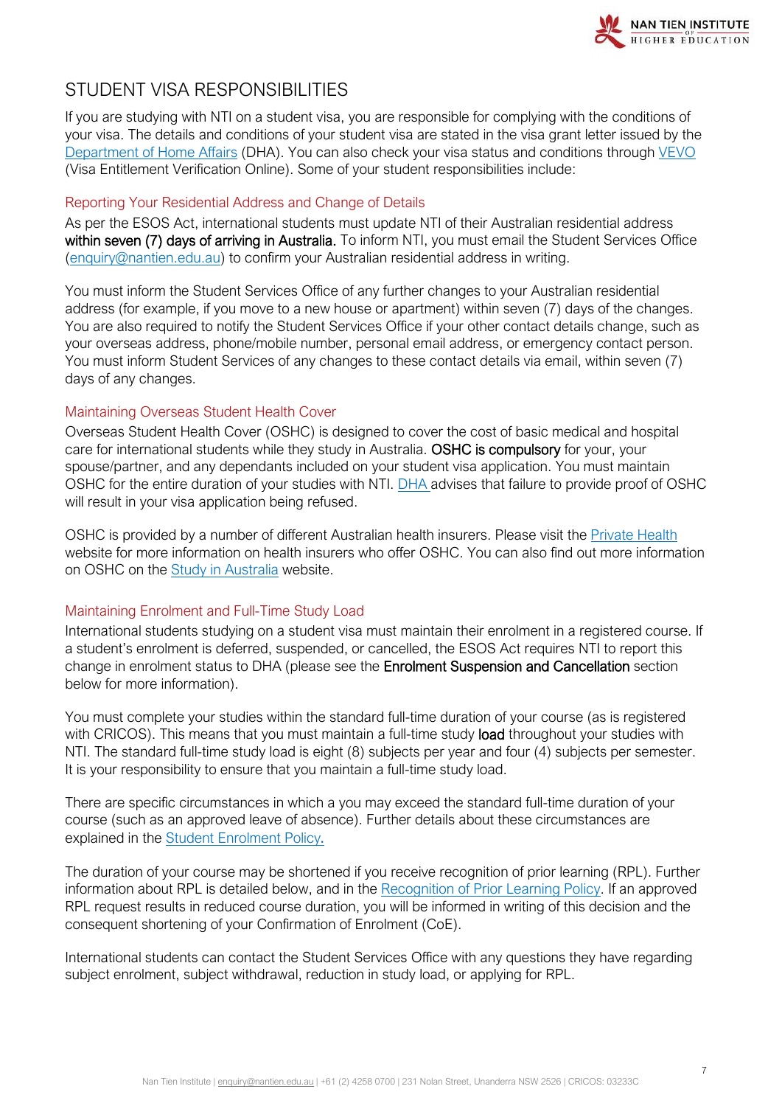

# <span id="page-6-0"></span>STUDENT VISA RESPONSIBILITIES

If you are studying with NTI on a student visa, you are responsible for complying with the conditions of your visa. The details and conditions of your student visa are stated in the visa grant letter issued by the [Department of Home Affairs](https://www.homeaffairs.gov.au/) (DHA). You can also check your visa status and conditions through [VEVO](https://immi.homeaffairs.gov.au/visas/already-have-a-visa/check-visa-details-and-conditions/check-conditions-online) (Visa Entitlement Verification Online). Some of your student responsibilities include:

#### Reporting Your Residential Address and Change of Details

As per the ESOS Act, international students must update NTI of their Australian residential address within seven (7) days of arriving in Australia. To inform NTI, you must email the Student Services Office [\(enquiry@nantien.edu.au\)](mailto:enquiry@nantien.edu.au) to confirm your Australian residential address in writing.

You must inform the Student Services Office of any further changes to your Australian residential address (for example, if you move to a new house or apartment) within seven (7) days of the changes. You are also required to notify the Student Services Office if your other contact details change, such as your overseas address, phone/mobile number, personal email address, or emergency contact person. You must inform Student Services of any changes to these contact details via email, within seven (7) days of any changes.

#### Maintaining Overseas Student Health Cover

Overseas Student Health Cover (OSHC) is designed to cover the cost of basic medical and hospital care for international students while they study in Australia. OSHC is compulsory for your, your spouse/partner, and any dependants included on your student visa application. You must maintain OSHC for the entire duration of your studies with NTI. [DHA](https://immi.homeaffairs.gov.au/visas/getting-a-visa/visa-listing/student-500#HowTo) advises that failure to provide proof of OSHC will result in your visa application being refused.

OSHC is provided by a number of different Australian health insurers. Please visit the [Private](https://www.privatehealth.gov.au/) Health website for more information on health insurers who offer OSHC. You can also find out more information on OSHC on the [Study in Australia](https://www.studyinaustralia.gov.au/) website.

#### Maintaining Enrolment and Full-Time Study Load

International students studying on a student visa must maintain their enrolment in a registered course. If a student's enrolment is deferred, suspended, or cancelled, the ESOS Act requires NTI to report this change in enrolment status to DHA (please see the Enrolment Suspension and Cancellation section below for more information).

You must complete your studies within the standard full-time duration of your course (as is registered with CRICOS). This means that you must maintain a full-time study load throughout your studies with NTI. The standard full-time study load is eight (8) subjects per year and four (4) subjects per semester. It is your responsibility to ensure that you maintain a full-time study load.

There are specific circumstances in which a you may exceed the standard full-time duration of your course (such as an approved leave of absence). Further details about these circumstances are explained in the [Student Enrolment Policy](https://policy.nantien.edu.au/student-services/student-enrolment-policy).

The duration of your course may be shortened if you receive recognition of prior learning (RPL). Further information about RPL is detailed below, and in the [Recognition of Prior Learning Policy.](https://policy.nantien.edu.au/student-services/recognition-prior-learning-rpl-policy) If an approved RPL request results in reduced course duration, you will be informed in writing of this decision and the consequent shortening of your Confirmation of Enrolment (CoE).

International students can contact the Student Services Office with any questions they have regarding subject enrolment, subject withdrawal, reduction in study load, or applying for RPL.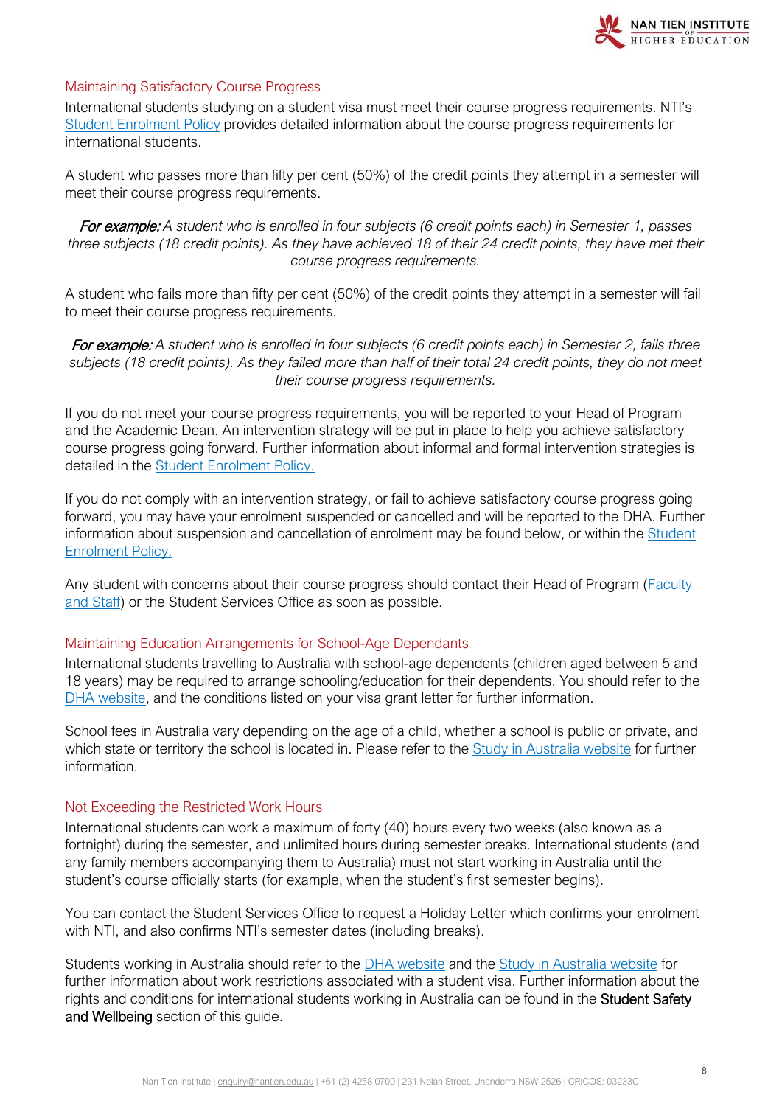

#### Maintaining Satisfactory Course Progress

International students studying on a student visa must meet their course progress requirements. NTI's [Student Enrolment Policy](https://policy.nantien.edu.au/student-services/student-enrolment-policy) provides detailed information about the course progress requirements for international students.

A student who passes more than fifty per cent (50%) of the credit points they attempt in a semester will meet their course progress requirements.

For example: *A student who is enrolled in four subjects (6 credit points each) in Semester 1, passes three subjects (18 credit points). As they have achieved 18 of their 24 credit points, they have met their course progress requirements.*

A student who fails more than fifty per cent (50%) of the credit points they attempt in a semester will fail to meet their course progress requirements.

For example: *A student who is enrolled in four subjects (6 credit points each) in Semester 2, fails three subjects (18 credit points). As they failed more than half of their total 24 credit points, they do not meet their course progress requirements.*

If you do not meet your course progress requirements, you will be reported to your Head of Program and the Academic Dean. An intervention strategy will be put in place to help you achieve satisfactory course progress going forward. Further information about informal and formal intervention strategies is detailed in the [Student Enrolment Policy.](https://policy.nantien.edu.au/student-services/student-enrolment-policy)

If you do not comply with an intervention strategy, or fail to achieve satisfactory course progress going forward, you may have your enrolment suspended or cancelled and will be reported to the DHA. Further information about suspension and cancellation of enrolment may be found below, or within the [Student](https://policy.nantien.edu.au/student-services/student-enrolment-policy)  [Enrolment Policy.](https://policy.nantien.edu.au/student-services/student-enrolment-policy)

Any student with concerns about their course progress should contact their Head of Program [\(Faculty](http://demo.nti.edu.au/about-us/faculty-and-staff/)  [and Staff\)](http://demo.nti.edu.au/about-us/faculty-and-staff/) or the Student Services Office as soon as possible.

#### Maintaining Education Arrangements for School-Age Dependants

International students travelling to Australia with school-age dependents (children aged between 5 and 18 years) may be required to arrange schooling/education for their dependents. You should refer to the [DHA website,](https://immi.homeaffairs.gov.au/visas/getting-a-visa/visa-listing/student-500#When) and the conditions listed on your visa grant letter for further information.

School fees in Australia vary depending on the age of a child, whether a school is public or private, and which state or territory the school is located in. Please refer to the [Study in Australia website](https://www.studyinaustralia.gov.au/english/australian-education/bringing-your-children) for further information.

#### Not Exceeding the Restricted Work Hours

International students can work a maximum of forty (40) hours every two weeks (also known as a fortnight) during the semester, and unlimited hours during semester breaks. International students (and any family members accompanying them to Australia) must not start working in Australia until the student's course officially starts (for example, when the student's first semester begins).

You can contact the Student Services Office to request a Holiday Letter which confirms your enrolment with NTI, and also confirms NTI's semester dates (including breaks).

Students working in Australia should refer to the DHA [website](https://immi.homeaffairs.gov.au/visas/already-have-a-visa/check-visa-details-and-conditions/see-your-visa-conditions?product=500) and the [Study in Australia website](https://www.studyinaustralia.gov.au/English/Live-in-Australia/Work/your-work-rights-explained) for further information about work restrictions associated with a student visa. Further information about the rights and conditions for international students working in Australia can be found in the Student Safety and Wellbeing section of this quide.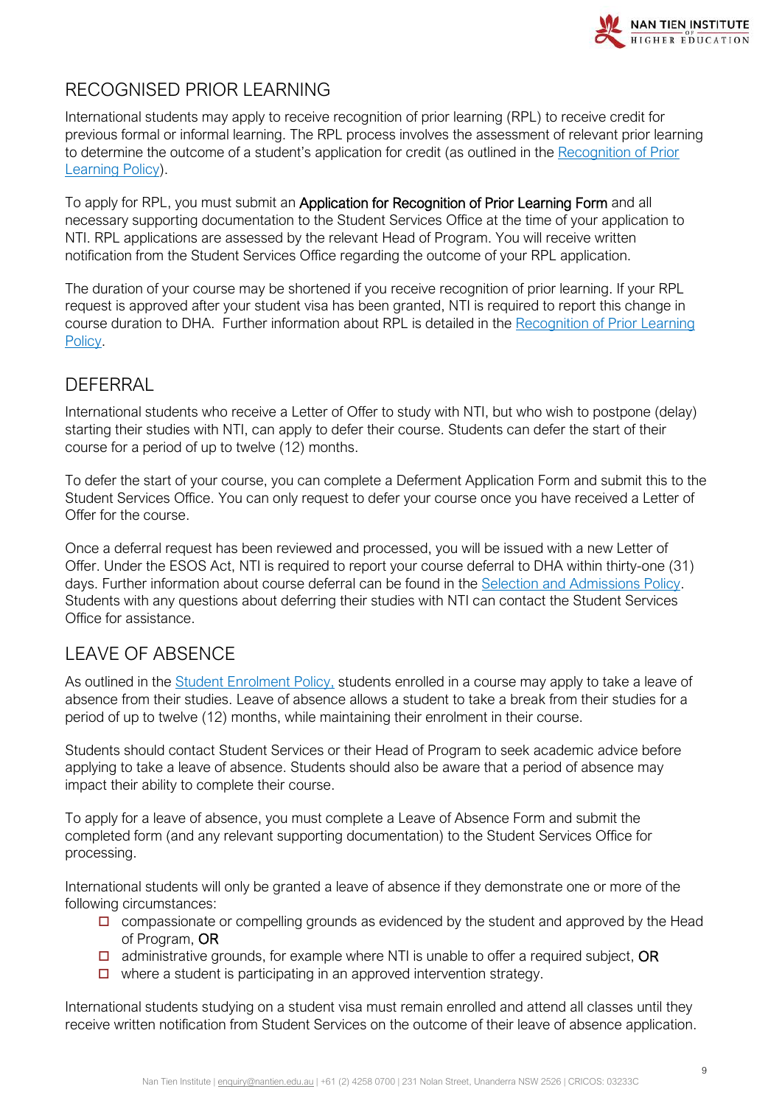

# <span id="page-8-0"></span>RECOGNISED PRIOR LEARNING

International students may apply to receive recognition of prior learning (RPL) to receive credit for previous formal or informal learning. The RPL process involves the assessment of relevant prior learning to determine the outcome of a student's application for credit (as outlined in the [Recognition of Prior](https://policy.nantien.edu.au/student-services/recognition-prior-learning-rpl-policy)  [Learning Policy\)](https://policy.nantien.edu.au/student-services/recognition-prior-learning-rpl-policy).

To apply for RPL, you must submit an Application for Recognition of Prior Learning Form and all necessary supporting documentation to the Student Services Office at the time of your application to NTI. RPL applications are assessed by the relevant Head of Program. You will receive written notification from the Student Services Office regarding the outcome of your RPL application.

The duration of your course may be shortened if you receive recognition of prior learning. If your RPL request is approved after your student visa has been granted, NTI is required to report this change in course duration to DHA. Further information about RPL is detailed in the [Recognition of Prior Learning](https://policy.nantien.edu.au/student-services/recognition-prior-learning-rpl-policy)  [Policy.](https://policy.nantien.edu.au/student-services/recognition-prior-learning-rpl-policy)

# <span id="page-8-1"></span>**DEFFRRAL**

International students who receive a Letter of Offer to study with NTI, but who wish to postpone (delay) starting their studies with NTI, can apply to defer their course. Students can defer the start of their course for a period of up to twelve (12) months.

To defer the start of your course, you can complete a Deferment Application Form and submit this to the Student Services Office. You can only request to defer your course once you have received a Letter of Offer for the course.

Once a deferral request has been reviewed and processed, you will be issued with a new Letter of Offer. Under the ESOS Act, NTI is required to report your course deferral to DHA within thirty-one (31) days. Further information about course deferral can be found in the [Selection and Admissions Policy.](https://policy.nantien.edu.au/student-services/selection-and-admission-policy) Students with any questions about deferring their studies with NTI can contact the Student Services Office for assistance.

# <span id="page-8-2"></span>LEAVE OF ABSENCE

As outlined in the [Student Enrolment Policy,](https://policy.nantien.edu.au/student-services/student-enrolment-policy) students enrolled in a course may apply to take a leave of absence from their studies. Leave of absence allows a student to take a break from their studies for a period of up to twelve (12) months, while maintaining their enrolment in their course.

Students should contact Student Services or their Head of Program to seek academic advice before applying to take a leave of absence. Students should also be aware that a period of absence may impact their ability to complete their course.

To apply for a leave of absence, you must complete a Leave of Absence Form and submit the completed form (and any relevant supporting documentation) to the Student Services Office for processing.

International students will only be granted a leave of absence if they demonstrate one or more of the following circumstances:

- $\Box$  compassionate or compelling grounds as evidenced by the student and approved by the Head of Program, OR
- $\Box$  administrative grounds, for example where NTI is unable to offer a required subject, OR
- $\Box$  where a student is participating in an approved intervention strategy.

International students studying on a student visa must remain enrolled and attend all classes until they receive written notification from Student Services on the outcome of their leave of absence application.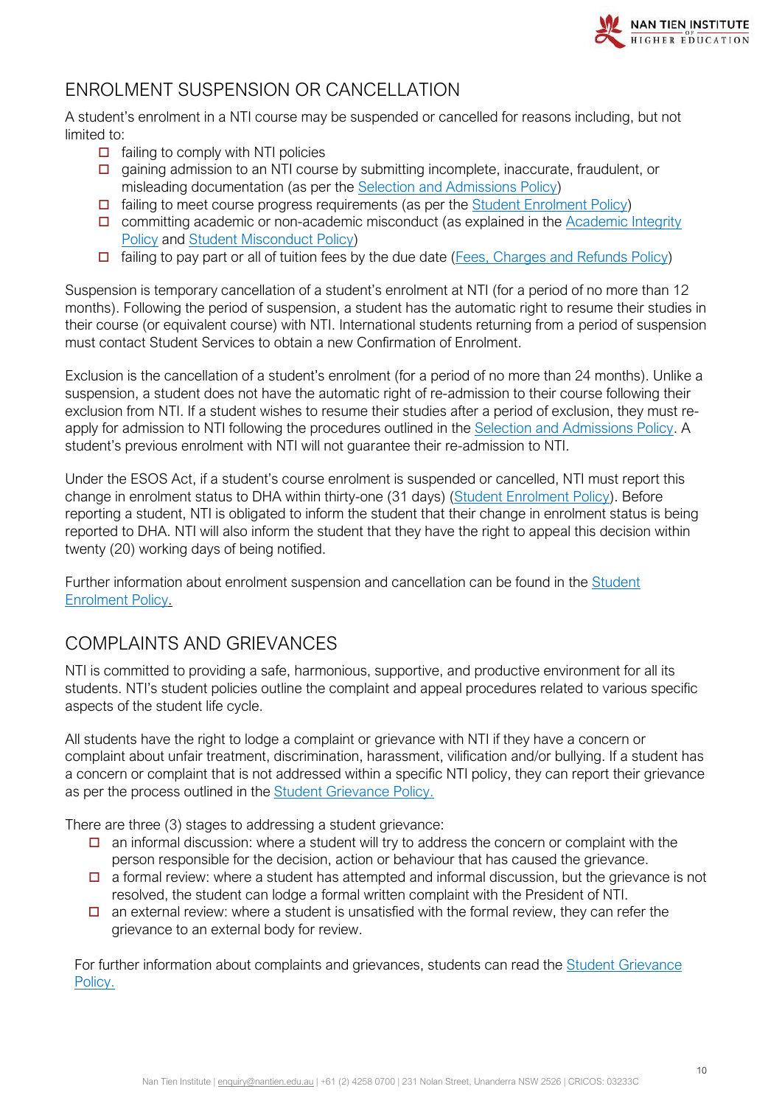

# <span id="page-9-0"></span>ENROLMENT SUSPENSION OR CANCELLATION

A student's enrolment in a NTI course may be suspended or cancelled for reasons including, but not limited to:

- $\Box$  failing to comply with NTI policies
- $\Box$  gaining admission to an NTI course by submitting incomplete, inaccurate, fraudulent, or misleading documentation (as per the [Selection and Admissions Policy\)](https://policy.nantien.edu.au/student-services/selection-and-admission-policy)
- $\Box$  failing to meet course progress requirements (as per the [Student Enrolment Policy\)](https://policy.nantien.edu.au/student-services/student-enrolment-policy)
- $\Box$  committing academic or non-academic misconduct (as explained in the Academic Integrity [Policy](https://policy.nantien.edu.au/student-services/academic-integrity-policy) and [Student Misconduct Policy\)](https://policy.nantien.edu.au/student-services/student-misconduct-policy)
- $\Box$  failing to pay part or all of tuition fees by the due date [\(Fees, Charges and Refunds Policy\)](https://policy.nantien.edu.au/student-services/fees-charges-and-refunds-policy)

Suspension is temporary cancellation of a student's enrolment at NTI (for a period of no more than 12 months). Following the period of suspension, a student has the automatic right to resume their studies in their course (or equivalent course) with NTI. International students returning from a period of suspension must contact Student Services to obtain a new Confirmation of Enrolment.

Exclusion is the cancellation of a student's enrolment (for a period of no more than 24 months). Unlike a suspension, a student does not have the automatic right of re-admission to their course following their exclusion from NTI. If a student wishes to resume their studies after a period of exclusion, they must reapply for admission to NTI following the procedures outlined in the [Selection and Admissions Policy.](https://policy.nantien.edu.au/student-services/selection-and-admission-policy) A student's previous enrolment with NTI will not guarantee their re-admission to NTI.

Under the ESOS Act, if a student's course enrolment is suspended or cancelled, NTI must report this change in enrolment status to DHA within thirty-one (31 days) [\(Student Enrolment Policy\)](https://policy.nantien.edu.au/student-services/student-enrolment-policy). Before reporting a student, NTI is obligated to inform the student that their change in enrolment status is being reported to DHA. NTI will also inform the student that they have the right to appeal this decision within twenty (20) working days of being notified.

Further information about enrolment suspension and cancellation can be found in the Student [Enrolment Policy.](https://policy.nantien.edu.au/student-services/student-enrolment-policy)

# <span id="page-9-1"></span>COMPLAINTS AND GRIEVANCES

NTI is committed to providing a safe, harmonious, supportive, and productive environment for all its students. NTI's student policies outline the complaint and appeal procedures related to various specific aspects of the student life cycle.

All students have the right to lodge a complaint or grievance with NTI if they have a concern or complaint about unfair treatment, discrimination, harassment, vilification and/or bullying. If a student has a concern or complaint that is not addressed within a specific NTI policy, they can report their grievance as per the process outlined in the [Student Grievance Policy.](https://policy.nantien.edu.au/student-services)

There are three (3) stages to addressing a student grievance:

- $\Box$  an informal discussion: where a student will try to address the concern or complaint with the person responsible for the decision, action or behaviour that has caused the grievance.
- $\Box$  a formal review: where a student has attempted and informal discussion, but the grievance is not resolved, the student can lodge a formal written complaint with the President of NTI.
- $\Box$  an external review: where a student is unsatisfied with the formal review, they can refer the grievance to an external body for review.

For further information about complaints and grievances, students can read the [Student Grievance](https://policy.nantien.edu.au/student-services/student-grievance-policy)  [Policy.](https://policy.nantien.edu.au/student-services/student-grievance-policy)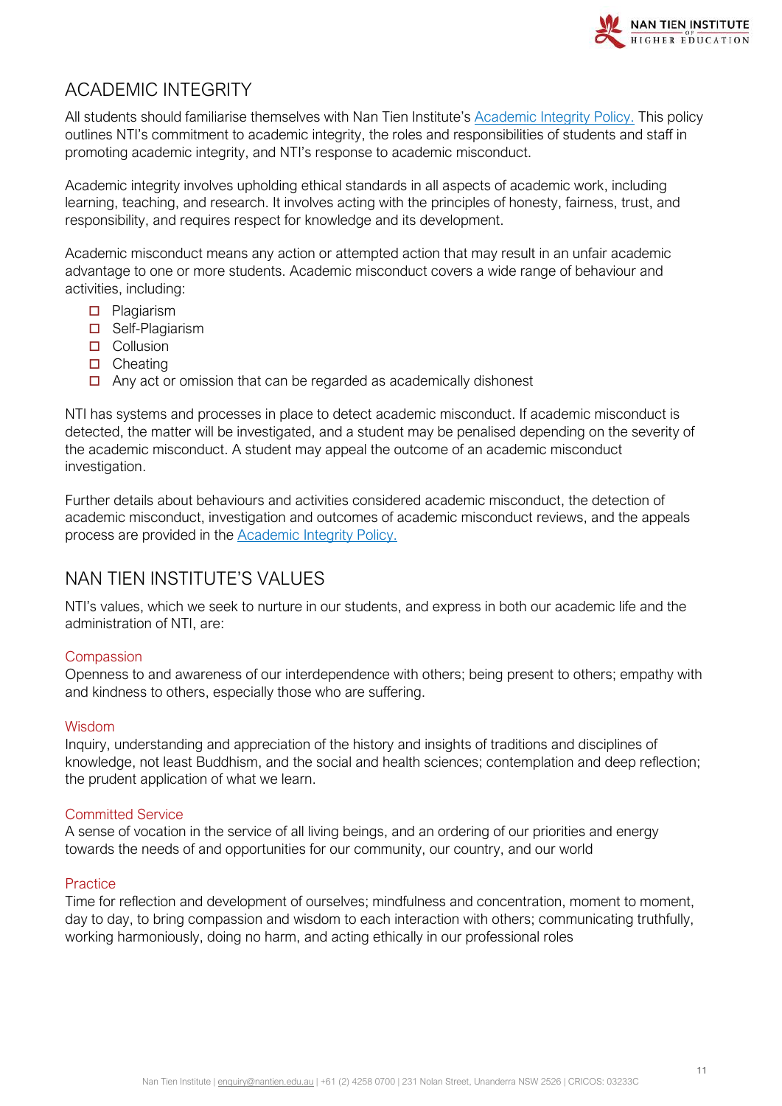

# <span id="page-10-0"></span>ACADEMIC INTEGRITY

All students should familiarise themselves with Nan Tien Institute's [Academic Integrity Policy.](https://policy.nantien.edu.au/student-services/academic-integrity-policy) This policy outlines NTI's commitment to academic integrity, the roles and responsibilities of students and staff in promoting academic integrity, and NTI's response to academic misconduct.

Academic integrity involves upholding ethical standards in all aspects of academic work, including learning, teaching, and research. It involves acting with the principles of honesty, fairness, trust, and responsibility, and requires respect for knowledge and its development.

Academic misconduct means any action or attempted action that may result in an unfair academic advantage to one or more students. Academic misconduct covers a wide range of behaviour and activities, including:

- **D** Plagiarism
- □ Self-Plagiarism
- **D** Collusion
- $\Box$  Cheating
- $\Box$  Any act or omission that can be regarded as academically dishonest

NTI has systems and processes in place to detect academic misconduct. If academic misconduct is detected, the matter will be investigated, and a student may be penalised depending on the severity of the academic misconduct. A student may appeal the outcome of an academic misconduct investigation.

Further details about behaviours and activities considered academic misconduct, the detection of academic misconduct, investigation and outcomes of academic misconduct reviews, and the appeals process are provided in the **Academic Integrity Policy**.

# <span id="page-10-1"></span>NAN TIEN INSTITUTE'S VALUES

NTI's values, which we seek to nurture in our students, and express in both our academic life and the administration of NTI, are:

#### **Compassion**

Openness to and awareness of our interdependence with others; being present to others; empathy with and kindness to others, especially those who are suffering.

#### Wisdom

Inquiry, understanding and appreciation of the history and insights of traditions and disciplines of knowledge, not least Buddhism, and the social and health sciences; contemplation and deep reflection; the prudent application of what we learn.

#### Committed Service

A sense of vocation in the service of all living beings, and an ordering of our priorities and energy towards the needs of and opportunities for our community, our country, and our world

#### **Practice**

Time for reflection and development of ourselves; mindfulness and concentration, moment to moment, day to day, to bring compassion and wisdom to each interaction with others; communicating truthfully, working harmoniously, doing no harm, and acting ethically in our professional roles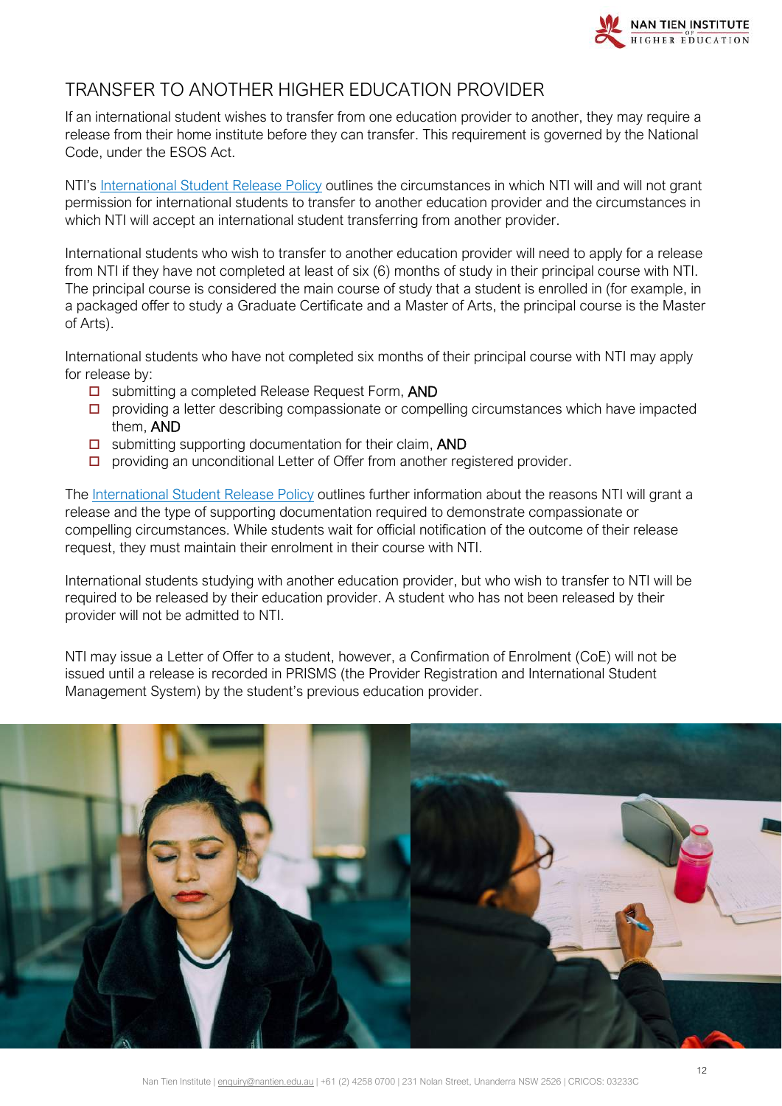

# <span id="page-11-0"></span>TRANSFER TO ANOTHER HIGHER EDUCATION PROVIDER

If an international student wishes to transfer from one education provider to another, they may require a release from their home institute before they can transfer. This requirement is governed by the National Code, under the ESOS Act.

NTI's [International Student Release Policy](https://policy.nantien.edu.au/student-services/international-student-release) outlines the circumstances in which NTI will and will not grant permission for international students to transfer to another education provider and the circumstances in which NTI will accept an international student transferring from another provider.

International students who wish to transfer to another education provider will need to apply for a release from NTI if they have not completed at least of six (6) months of study in their principal course with NTI. The principal course is considered the main course of study that a student is enrolled in (for example, in a packaged offer to study a Graduate Certificate and a Master of Arts, the principal course is the Master of Arts).

International students who have not completed six months of their principal course with NTI may apply for release by:

- □ submitting a completed Release Request Form, AND
- $\Box$  providing a letter describing compassionate or compelling circumstances which have impacted them, AND
- $\square$  submitting supporting documentation for their claim, AND
- $\square$  providing an unconditional Letter of Offer from another registered provider.

The [International Student Release Policy](https://policy.nantien.edu.au/student-services/international-student-release) outlines further information about the reasons NTI will grant a release and the type of supporting documentation required to demonstrate compassionate or compelling circumstances. While students wait for official notification of the outcome of their release request, they must maintain their enrolment in their course with NTI.

International students studying with another education provider, but who wish to transfer to NTI will be required to be released by their education provider. A student who has not been released by their provider will not be admitted to NTI.

NTI may issue a Letter of Offer to a student, however, a Confirmation of Enrolment (CoE) will not be issued until a release is recorded in PRISMS (the Provider Registration and International Student Management System) by the student's previous education provider.

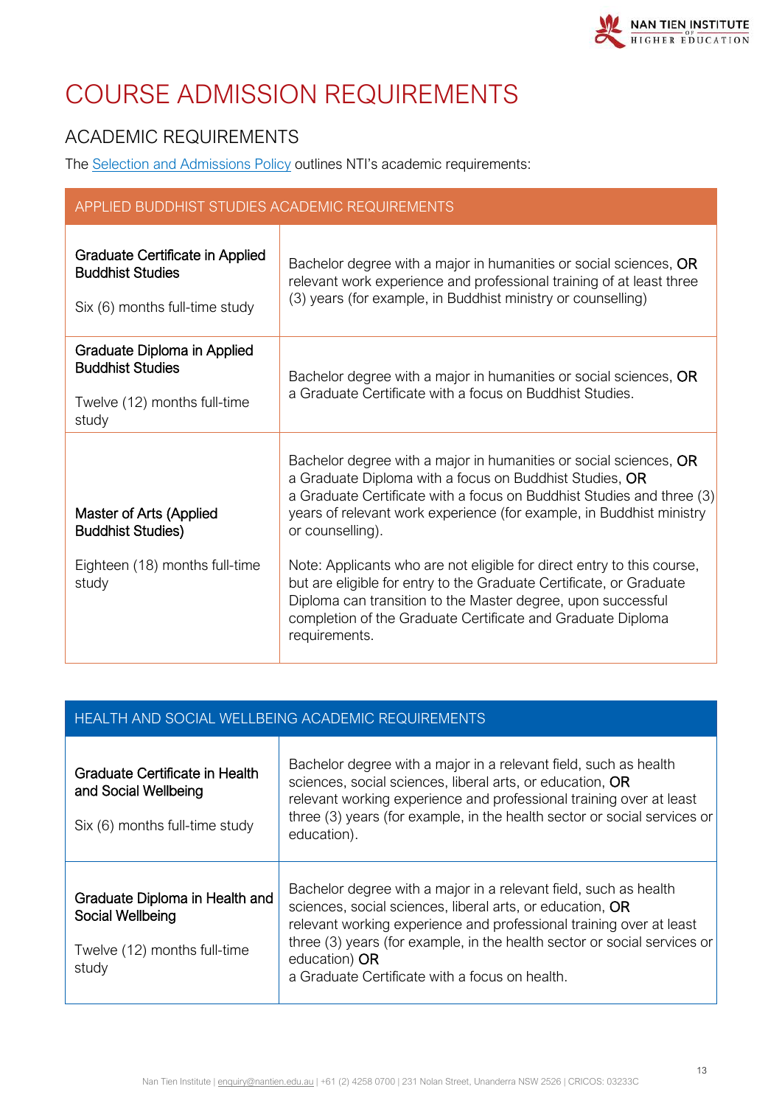# <span id="page-12-0"></span>COURSE ADMISSION REQUIREMENTS

# <span id="page-12-1"></span>ACADEMIC REQUIREMENTS

The [Selection and Admissions Policy](https://policy.nantien.edu.au/student-services/selection-and-admission-policy) outlines NTI's academic requirements:

| APPLIED BUDDHIST STUDIES ACADEMIC REQUIREMENTS                                                  |                                                                                                                                                                                                                                                                                                   |  |  |
|-------------------------------------------------------------------------------------------------|---------------------------------------------------------------------------------------------------------------------------------------------------------------------------------------------------------------------------------------------------------------------------------------------------|--|--|
| Graduate Certificate in Applied<br><b>Buddhist Studies</b><br>Six (6) months full-time study    | Bachelor degree with a major in humanities or social sciences, OR<br>relevant work experience and professional training of at least three<br>(3) years (for example, in Buddhist ministry or counselling)                                                                                         |  |  |
| Graduate Diploma in Applied<br><b>Buddhist Studies</b><br>Twelve (12) months full-time<br>study | Bachelor degree with a major in humanities or social sciences, OR<br>a Graduate Certificate with a focus on Buddhist Studies.                                                                                                                                                                     |  |  |
| Master of Arts (Applied<br><b>Buddhist Studies)</b>                                             | Bachelor degree with a major in humanities or social sciences, OR<br>a Graduate Diploma with a focus on Buddhist Studies, OR<br>a Graduate Certificate with a focus on Buddhist Studies and three (3)<br>years of relevant work experience (for example, in Buddhist ministry<br>or counselling). |  |  |
| Eighteen (18) months full-time<br>study                                                         | Note: Applicants who are not eligible for direct entry to this course,<br>but are eligible for entry to the Graduate Certificate, or Graduate<br>Diploma can transition to the Master degree, upon successful<br>completion of the Graduate Certificate and Graduate Diploma<br>requirements.     |  |  |

| HEALTH AND SOCIAL WELLBEING ACADEMIC REQUIREMENTS |  |  |
|---------------------------------------------------|--|--|
|                                                   |  |  |

| Graduate Certificate in Health<br>and Social Wellbeing<br>Six (6) months full-time study    | Bachelor degree with a major in a relevant field, such as health<br>sciences, social sciences, liberal arts, or education, OR<br>relevant working experience and professional training over at least<br>three (3) years (for example, in the health sector or social services or<br>education).                                                     |
|---------------------------------------------------------------------------------------------|-----------------------------------------------------------------------------------------------------------------------------------------------------------------------------------------------------------------------------------------------------------------------------------------------------------------------------------------------------|
| Graduate Diploma in Health and<br>Social Wellbeing<br>Twelve (12) months full-time<br>study | Bachelor degree with a major in a relevant field, such as health<br>sciences, social sciences, liberal arts, or education, OR<br>relevant working experience and professional training over at least<br>three (3) years (for example, in the health sector or social services or<br>education) OR<br>a Graduate Certificate with a focus on health. |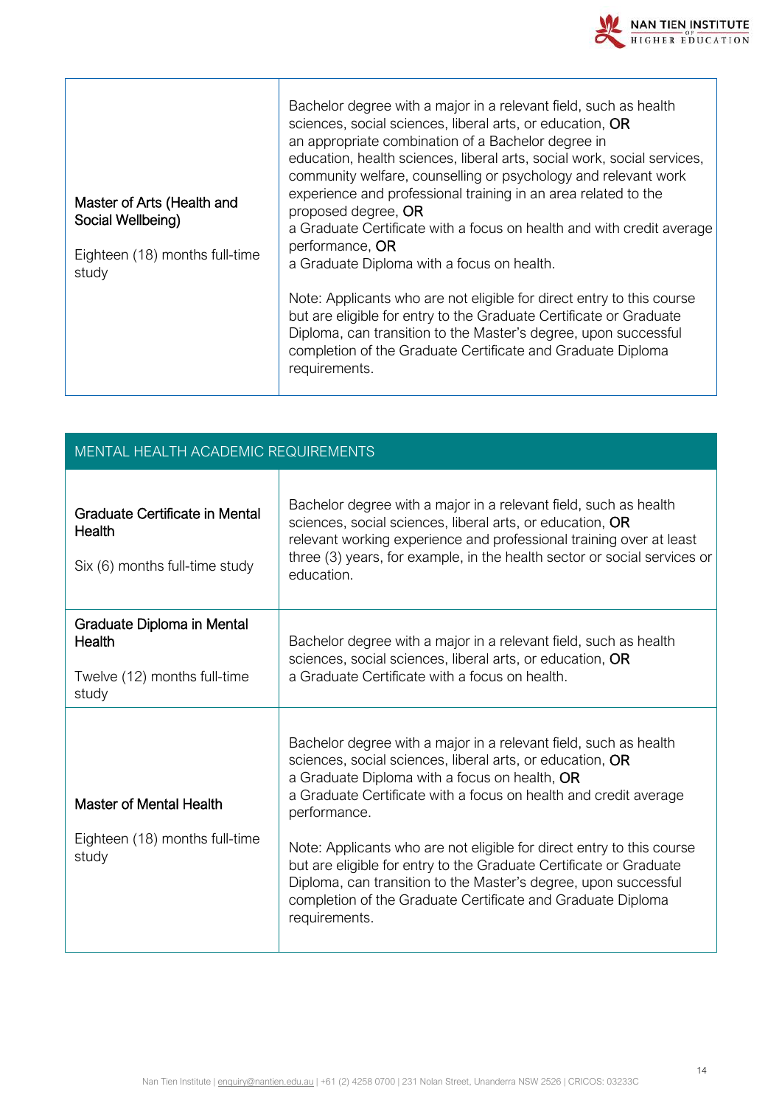

| Master of Arts (Health and<br>Social Wellbeing)<br>Eighteen (18) months full-time<br>study | Bachelor degree with a major in a relevant field, such as health<br>sciences, social sciences, liberal arts, or education, OR<br>an appropriate combination of a Bachelor degree in<br>education, health sciences, liberal arts, social work, social services,<br>community welfare, counselling or psychology and relevant work<br>experience and professional training in an area related to the<br>proposed degree, OR<br>a Graduate Certificate with a focus on health and with credit average<br>performance, OR<br>a Graduate Diploma with a focus on health. |
|--------------------------------------------------------------------------------------------|---------------------------------------------------------------------------------------------------------------------------------------------------------------------------------------------------------------------------------------------------------------------------------------------------------------------------------------------------------------------------------------------------------------------------------------------------------------------------------------------------------------------------------------------------------------------|
|                                                                                            | Note: Applicants who are not eligible for direct entry to this course<br>but are eligible for entry to the Graduate Certificate or Graduate<br>Diploma, can transition to the Master's degree, upon successful<br>completion of the Graduate Certificate and Graduate Diploma<br>requirements.                                                                                                                                                                                                                                                                      |

| <b>MENTAL HEALTH ACADEMIC REQUIREMENTS</b>                                    |                                                                                                                                                                                                                                                                                                                                                                                                                                                                                                                                                                      |  |  |
|-------------------------------------------------------------------------------|----------------------------------------------------------------------------------------------------------------------------------------------------------------------------------------------------------------------------------------------------------------------------------------------------------------------------------------------------------------------------------------------------------------------------------------------------------------------------------------------------------------------------------------------------------------------|--|--|
| Graduate Certificate in Mental<br>Health<br>Six (6) months full-time study    | Bachelor degree with a major in a relevant field, such as health<br>sciences, social sciences, liberal arts, or education, OR<br>relevant working experience and professional training over at least<br>three (3) years, for example, in the health sector or social services or<br>education.                                                                                                                                                                                                                                                                       |  |  |
| Graduate Diploma in Mental<br>Health<br>Twelve (12) months full-time<br>study | Bachelor degree with a major in a relevant field, such as health<br>sciences, social sciences, liberal arts, or education, OR<br>a Graduate Certificate with a focus on health.                                                                                                                                                                                                                                                                                                                                                                                      |  |  |
| <b>Master of Mental Health</b><br>Eighteen (18) months full-time<br>study     | Bachelor degree with a major in a relevant field, such as health<br>sciences, social sciences, liberal arts, or education, OR<br>a Graduate Diploma with a focus on health, OR<br>a Graduate Certificate with a focus on health and credit average<br>performance.<br>Note: Applicants who are not eligible for direct entry to this course<br>but are eligible for entry to the Graduate Certificate or Graduate<br>Diploma, can transition to the Master's degree, upon successful<br>completion of the Graduate Certificate and Graduate Diploma<br>requirements. |  |  |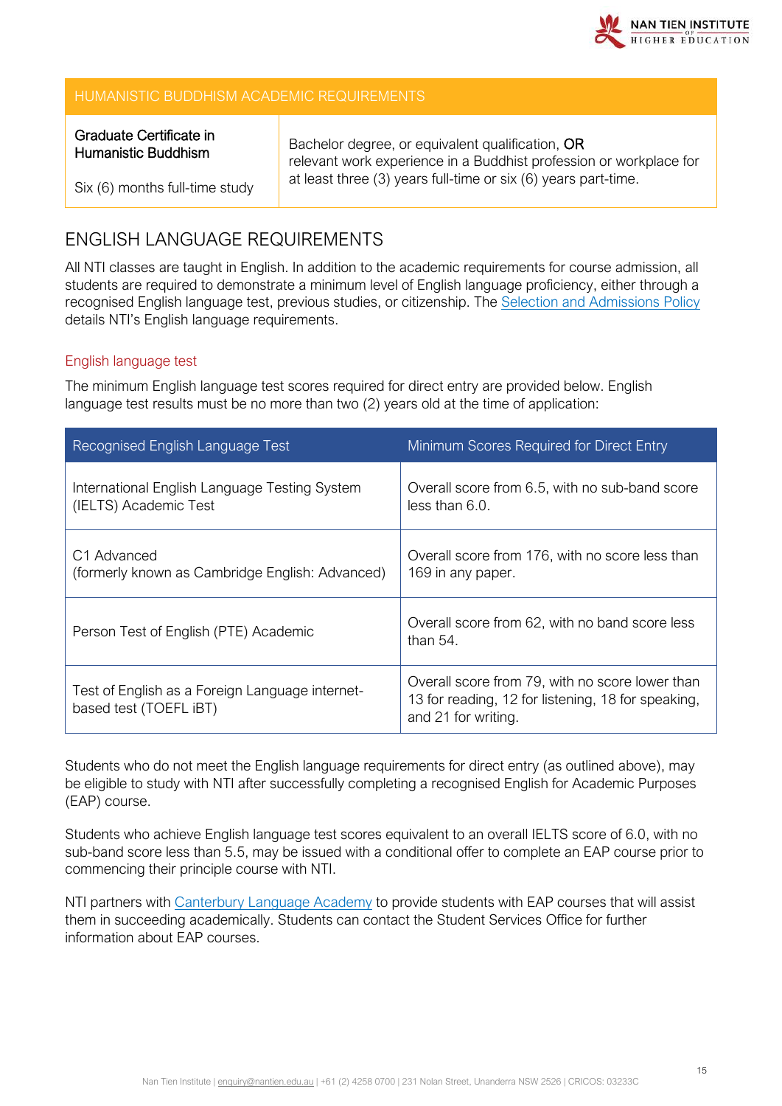

#### HUMANISTIC BUDDHISM ACADEMIC REQUIREMENTS

#### Graduate Certificate in Humanistic Buddhism

Bachelor degree, or equivalent qualification, OR relevant work experience in a Buddhist profession or workplace for at least three (3) years full-time or six (6) years part-time.

Six (6) months full-time study

# <span id="page-14-0"></span>ENGLISH LANGUAGE REQUIREMENTS

All NTI classes are taught in English. In addition to the academic requirements for course admission, all students are required to demonstrate a minimum level of English language proficiency, either through a recognised English language test, previous studies, or citizenship. The [Selection and Admissions Policy](https://policy.nantien.edu.au/student-services/selection-and-admission-policy) details NTI's English language requirements.

#### English language test

The minimum English language test scores required for direct entry are provided below. English language test results must be no more than two (2) years old at the time of application:

| <b>Recognised English Language Test</b>                                    | Minimum Scores Required for Direct Entry                                                                                     |
|----------------------------------------------------------------------------|------------------------------------------------------------------------------------------------------------------------------|
| International English Language Testing System<br>(IELTS) Academic Test     | Overall score from 6.5, with no sub-band score<br>less than $6.0$ .                                                          |
| C <sub>1</sub> Advanced<br>(formerly known as Cambridge English: Advanced) | Overall score from 176, with no score less than<br>169 in any paper.                                                         |
| Person Test of English (PTE) Academic                                      | Overall score from 62, with no band score less<br>than $54.$                                                                 |
| Test of English as a Foreign Language internet-<br>based test (TOEFL iBT)  | Overall score from 79, with no score lower than<br>13 for reading, 12 for listening, 18 for speaking,<br>and 21 for writing. |

Students who do not meet the English language requirements for direct entry (as outlined above), may be eligible to study with NTI after successfully completing a recognised English for Academic Purposes (EAP) course.

Students who achieve English language test scores equivalent to an overall IELTS score of 6.0, with no sub-band score less than 5.5, may be issued with a conditional offer to complete an EAP course prior to commencing their principle course with NTI.

NTI partners with [Canterbury Language Academy](http://canterburyla.com.au/) to provide students with EAP courses that will assist them in succeeding academically. Students can contact the Student Services Office for further information about EAP courses.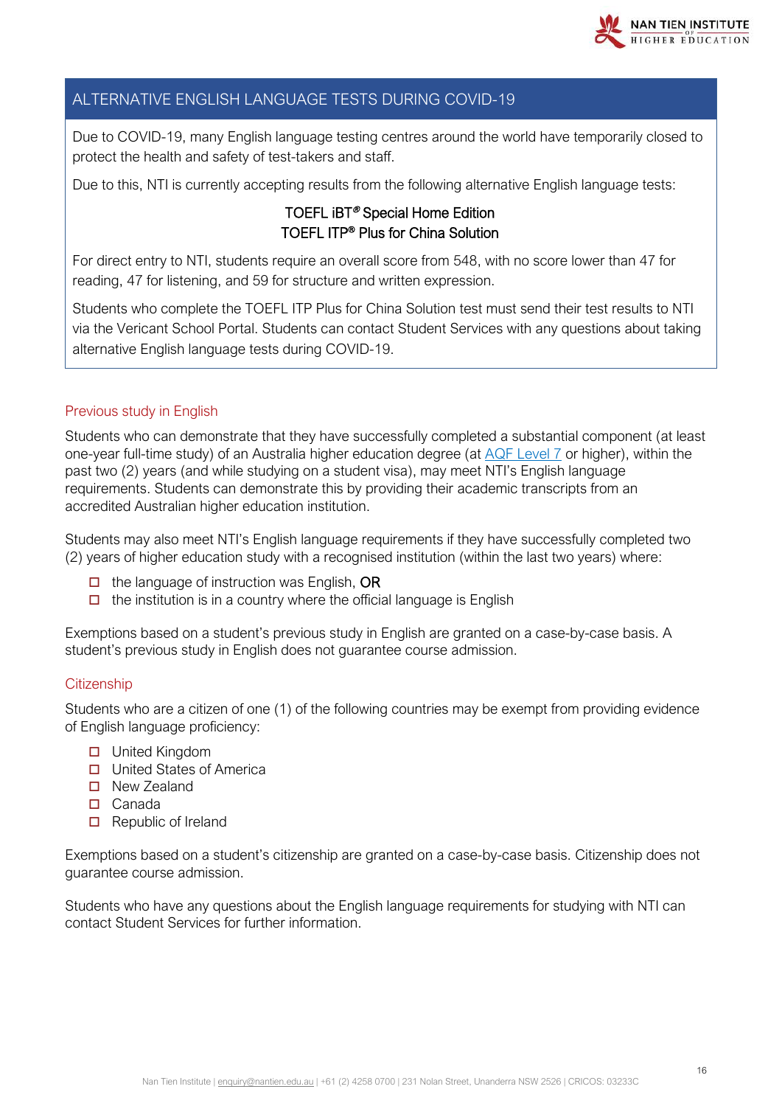

#### ALTERNATIVE ENGLISH LANGUAGE TESTS DURING COVID-19

Due to COVID-19, many English language testing centres around the world have temporarily closed to protect the health and safety of test-takers and staff.

Due to this, NTI is currently accepting results from the following alternative English language tests:

#### TOEFL iBT® Special Home Edition TOEFL ITP® Plus for China Solution

For direct entry to NTI, students require an overall score from 548, with no score lower than 47 for reading, 47 for listening, and 59 for structure and written expression.

Students who complete the TOEFL ITP Plus for China Solution test must send their test results to NTI via the Vericant School Portal. Students can contact Student Services with any questions about taking alternative English language tests during COVID-19.

#### Previous study in English

Students who can demonstrate that they have successfully completed a substantial component (at least one-year full-time study) of an Australia higher education degree (at [AQF Level 7](https://www.aqf.edu.au/aqf-levels) or higher), within the past two (2) years (and while studying on a student visa), may meet NTI's English language requirements. Students can demonstrate this by providing their academic transcripts from an accredited Australian higher education institution.

Students may also meet NTI's English language requirements if they have successfully completed two (2) years of higher education study with a recognised institution (within the last two years) where:

- $\Box$  the language of instruction was English, OR
- $\Box$  the institution is in a country where the official language is English

Exemptions based on a student's previous study in English are granted on a case-by-case basis. A student's previous study in English does not guarantee course admission.

#### **Citizenship**

Students who are a citizen of one (1) of the following countries may be exempt from providing evidence of English language proficiency:

- □ United Kingdom
- □ United States of America
- New Zealand
- □ Canada
- Republic of Ireland

Exemptions based on a student's citizenship are granted on a case-by-case basis. Citizenship does not guarantee course admission.

Students who have any questions about the English language requirements for studying with NTI can contact Student Services for further information.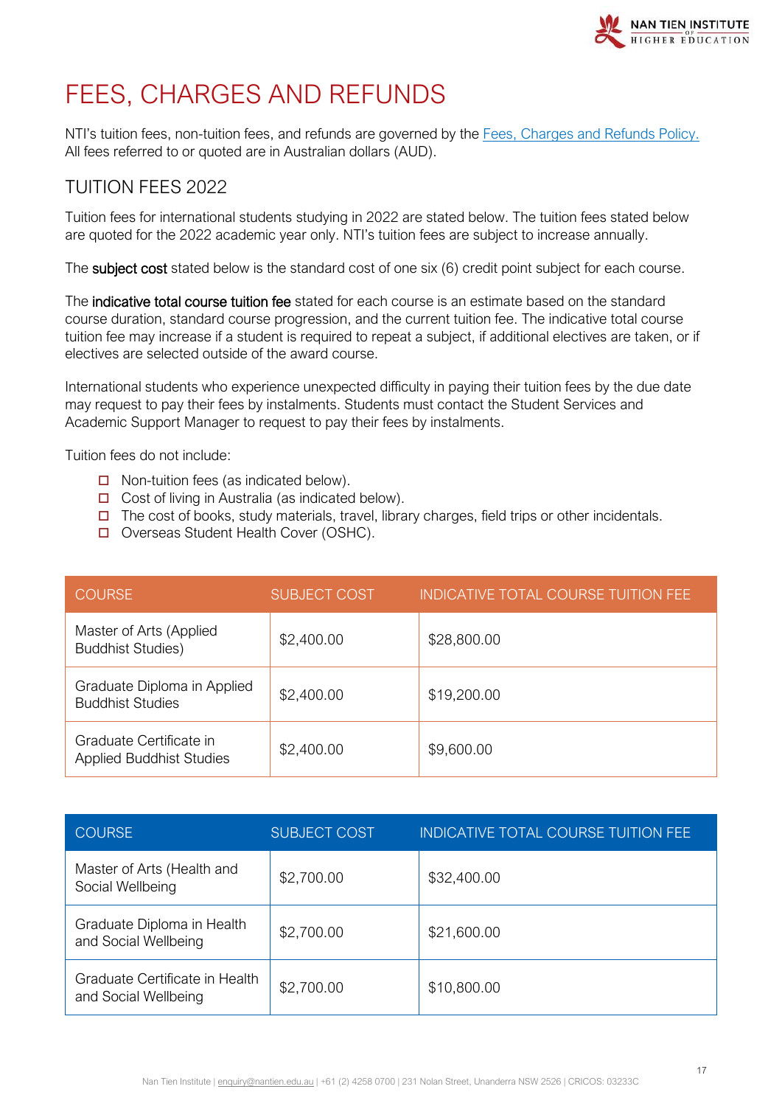

# <span id="page-16-0"></span>FEES, CHARGES AND REFUNDS

NTI's tuition fees, non-tuition fees, and refunds are governed by the [Fees, Charges and Refunds Policy.](https://policy.nantien.edu.au/student-services/fees-charges-and-refunds-policy) All fees referred to or quoted are in Australian dollars (AUD).

# <span id="page-16-1"></span>TUITION FEES 2022

Tuition fees for international students studying in 2022 are stated below. The tuition fees stated below are quoted for the 2022 academic year only. NTI's tuition fees are subject to increase annually.

The **subject cost** stated below is the standard cost of one six (6) credit point subject for each course.

The indicative total course tuition fee stated for each course is an estimate based on the standard course duration, standard course progression, and the current tuition fee. The indicative total course tuition fee may increase if a student is required to repeat a subject, if additional electives are taken, or if electives are selected outside of the award course.

International students who experience unexpected difficulty in paying their tuition fees by the due date may request to pay their fees by instalments. Students must contact the Student Services and Academic Support Manager to request to pay their fees by instalments.

Tuition fees do not include:

- $\Box$  Non-tuition fees (as indicated below).
- $\Box$  Cost of living in Australia (as indicated below).
- $\Box$  The cost of books, study materials, travel, library charges, field trips or other incidentals.
- Overseas Student Health Cover (OSHC).

| <b>COURSE</b>                                              | <b>SUBJECT COST</b> | <b>INDICATIVE TOTAL COURSE TUITION FEE</b> |
|------------------------------------------------------------|---------------------|--------------------------------------------|
| Master of Arts (Applied<br><b>Buddhist Studies)</b>        | \$2,400.00          | \$28,800.00                                |
| Graduate Diploma in Applied<br><b>Buddhist Studies</b>     | \$2,400.00          | \$19,200.00                                |
| Graduate Certificate in<br><b>Applied Buddhist Studies</b> | \$2,400.00          | \$9,600.00                                 |

| <b>COURSE</b>                                          | <b>SUBJECT COST</b> | <b>INDICATIVE TOTAL COURSE TUITION FEE</b> |
|--------------------------------------------------------|---------------------|--------------------------------------------|
| Master of Arts (Health and<br>Social Wellbeing         | \$2,700.00          | \$32,400.00                                |
| Graduate Diploma in Health<br>and Social Wellbeing     | \$2,700.00          | \$21,600.00                                |
| Graduate Certificate in Health<br>and Social Wellbeing | \$2,700.00          | \$10,800.00                                |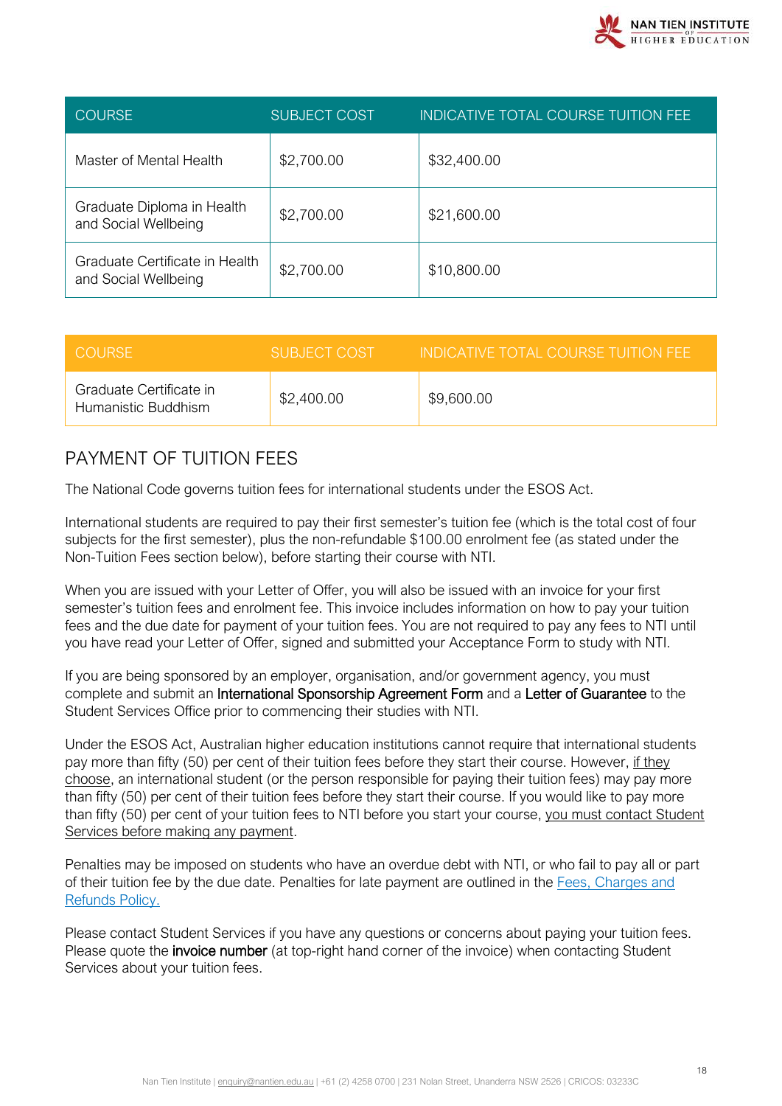| <b>COURSE</b>                                          | <b>SUBJECT COST</b> | INDICATIVE TOTAL COURSE TUITION FEE |
|--------------------------------------------------------|---------------------|-------------------------------------|
| Master of Mental Health                                | \$2,700.00          | \$32,400.00                         |
| Graduate Diploma in Health<br>and Social Wellbeing     | \$2,700.00          | \$21,600.00                         |
| Graduate Certificate in Health<br>and Social Wellbeing | \$2,700.00          | \$10,800.00                         |

| <b>COURSE</b>                                  | SUBJECT COST | INDICATIVE TOTAL COURSE TUITION FFF. |
|------------------------------------------------|--------------|--------------------------------------|
| Graduate Certificate in<br>Humanistic Buddhism | \$2,400.00   | \$9,600.00                           |

# <span id="page-17-0"></span>PAYMENT OF TUITION FEES

The National Code governs tuition fees for international students under the ESOS Act.

International students are required to pay their first semester's tuition fee (which is the total cost of four subjects for the first semester), plus the non-refundable \$100.00 enrolment fee (as stated under the Non-Tuition Fees section below), before starting their course with NTI.

When you are issued with your Letter of Offer, you will also be issued with an invoice for your first semester's tuition fees and enrolment fee. This invoice includes information on how to pay your tuition fees and the due date for payment of your tuition fees. You are not required to pay any fees to NTI until you have read your Letter of Offer, signed and submitted your Acceptance Form to study with NTI.

If you are being sponsored by an employer, organisation, and/or government agency, you must complete and submit an International Sponsorship Agreement Form and a Letter of Guarantee to the Student Services Office prior to commencing their studies with NTI.

Under the ESOS Act, Australian higher education institutions cannot require that international students pay more than fifty (50) per cent of their tuition fees before they start their course. However, if they choose, an international student (or the person responsible for paying their tuition fees) may pay more than fifty (50) per cent of their tuition fees before they start their course. If you would like to pay more than fifty (50) per cent of your tuition fees to NTI before you start your course, you must contact Student Services before making any payment.

Penalties may be imposed on students who have an overdue debt with NTI, or who fail to pay all or part of their tuition fee by the due date. Penalties for late payment are outlined in the [Fees, Charges and](https://policy.nantien.edu.au/student-services/fees-charges-and-refunds-policy)  [Refunds Policy.](https://policy.nantien.edu.au/student-services/fees-charges-and-refunds-policy)

Please contact Student Services if you have any questions or concerns about paying your tuition fees. Please quote the *invoice number* (at top-right hand corner of the invoice) when contacting Student Services about your tuition fees.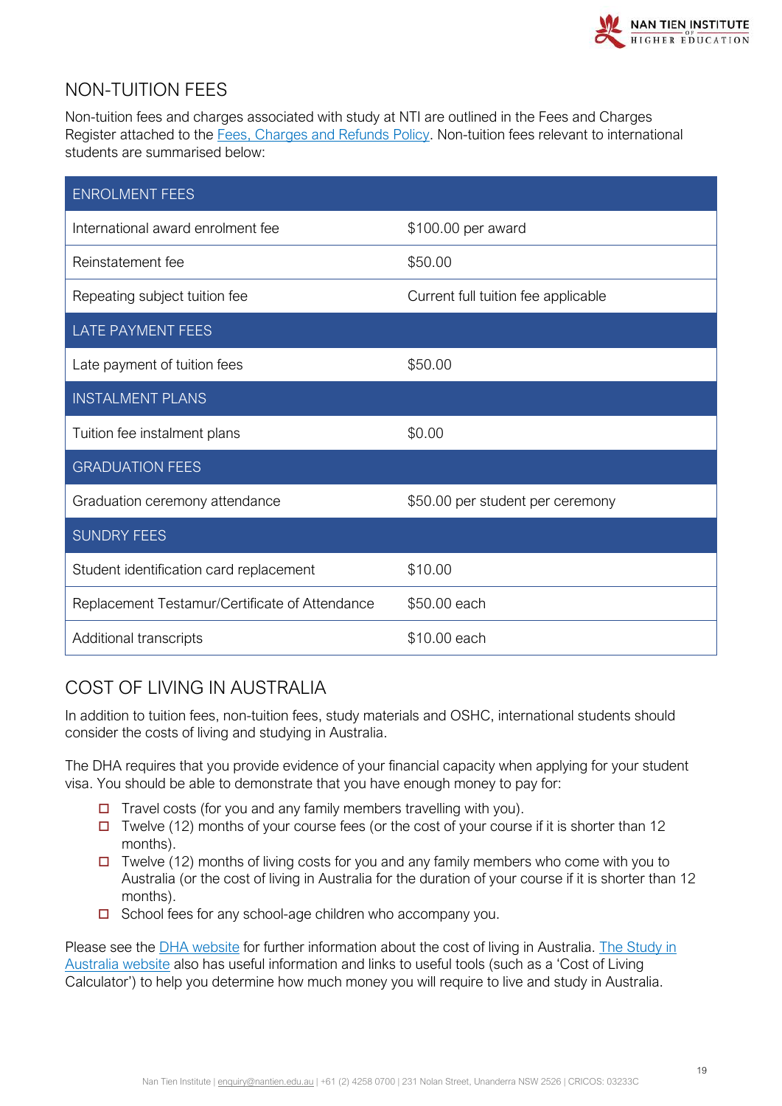

# <span id="page-18-0"></span>NON-TUITION FEES

Non-tuition fees and charges associated with study at NTI are outlined in the Fees and Charges Register attached to the [Fees, Charges and Refunds Policy.](https://policy.nantien.edu.au/student-services/fees-charges-and-refunds-policy) Non-tuition fees relevant to international students are summarised below:

| <b>ENROLMENT FEES</b>                          |                                     |
|------------------------------------------------|-------------------------------------|
| International award enrolment fee              | \$100.00 per award                  |
| Reinstatement fee                              | \$50.00                             |
| Repeating subject tuition fee                  | Current full tuition fee applicable |
| <b>LATE PAYMENT FEES</b>                       |                                     |
| Late payment of tuition fees                   | \$50.00                             |
| <b>INSTALMENT PLANS</b>                        |                                     |
| Tuition fee instalment plans                   | \$0.00                              |
| <b>GRADUATION FEES</b>                         |                                     |
| Graduation ceremony attendance                 | \$50.00 per student per ceremony    |
| <b>SUNDRY FEES</b>                             |                                     |
| Student identification card replacement        | \$10.00                             |
| Replacement Testamur/Certificate of Attendance | \$50.00 each                        |
| Additional transcripts                         | \$10.00 each                        |

# <span id="page-18-1"></span>COST OF LIVING IN AUSTRALIA

In addition to tuition fees, non-tuition fees, study materials and OSHC, international students should consider the costs of living and studying in Australia.

The DHA requires that you provide evidence of your financial capacity when applying for your student visa. You should be able to demonstrate that you have enough money to pay for:

- $\Box$  Travel costs (for you and any family members travelling with you).
- $\Box$  Twelve (12) months of your course fees (or the cost of your course if it is shorter than 12 months).
- Twelve (12) months of living costs for you and any family members who come with you to Australia (or the cost of living in Australia for the duration of your course if it is shorter than 12 months).
- $\Box$  School fees for any school-age children who accompany you.

Please see the [DHA website](https://immi.homeaffairs.gov.au/visas/getting-a-visa/visa-listing/student-500#HowTo) for further information about the cost of living in Australia. [The Study in](https://www.studyinaustralia.gov.au/english/live-in-australia/living-costs#:%7E:text=As%20of%20October%202019%20the,coming%20with%20you%20%2D%20AUD%243%2C152)  [Australia website](https://www.studyinaustralia.gov.au/english/live-in-australia/living-costs#:%7E:text=As%20of%20October%202019%20the,coming%20with%20you%20%2D%20AUD%243%2C152) also has useful information and links to useful tools (such as a 'Cost of Living Calculator') to help you determine how much money you will require to live and study in Australia.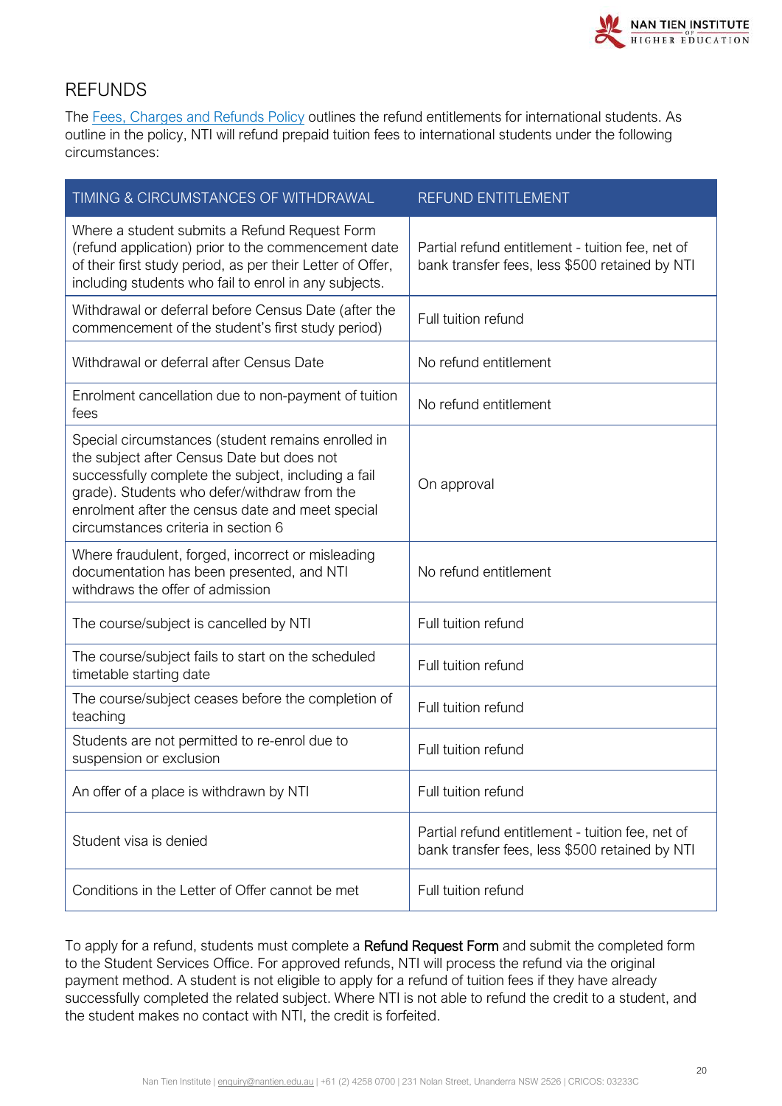

### <span id="page-19-0"></span>REFUNDS

The [Fees, Charges and Refunds Policy](https://policy.nantien.edu.au/student-services/fees-charges-and-refunds-policy) outlines the refund entitlements for international students. As outline in the policy, NTI will refund prepaid tuition fees to international students under the following circumstances:

| TIMING & CIRCUMSTANCES OF WITHDRAWAL                                                                                                                                                                                                                                                               | REFUND ENTITLEMENT                                                                                 |
|----------------------------------------------------------------------------------------------------------------------------------------------------------------------------------------------------------------------------------------------------------------------------------------------------|----------------------------------------------------------------------------------------------------|
| Where a student submits a Refund Request Form<br>(refund application) prior to the commencement date<br>of their first study period, as per their Letter of Offer,<br>including students who fail to enrol in any subjects.                                                                        | Partial refund entitlement - tuition fee, net of<br>bank transfer fees, less \$500 retained by NTI |
| Withdrawal or deferral before Census Date (after the<br>commencement of the student's first study period)                                                                                                                                                                                          | Full tuition refund                                                                                |
| Withdrawal or deferral after Census Date                                                                                                                                                                                                                                                           | No refund entitlement                                                                              |
| Enrolment cancellation due to non-payment of tuition<br>fees                                                                                                                                                                                                                                       | No refund entitlement                                                                              |
| Special circumstances (student remains enrolled in<br>the subject after Census Date but does not<br>successfully complete the subject, including a fail<br>grade). Students who defer/withdraw from the<br>enrolment after the census date and meet special<br>circumstances criteria in section 6 | On approval                                                                                        |
| Where fraudulent, forged, incorrect or misleading<br>documentation has been presented, and NTI<br>withdraws the offer of admission                                                                                                                                                                 | No refund entitlement                                                                              |
| The course/subject is cancelled by NTI                                                                                                                                                                                                                                                             | Full tuition refund                                                                                |
| The course/subject fails to start on the scheduled<br>timetable starting date                                                                                                                                                                                                                      | Full tuition refund                                                                                |
| The course/subject ceases before the completion of<br>teaching                                                                                                                                                                                                                                     | Full tuition refund                                                                                |
| Students are not permitted to re-enrol due to<br>suspension or exclusion                                                                                                                                                                                                                           | Full tuition refund                                                                                |
| An offer of a place is withdrawn by NTI                                                                                                                                                                                                                                                            | Full tuition refund                                                                                |
| Student visa is denied                                                                                                                                                                                                                                                                             | Partial refund entitlement - tuition fee, net of<br>bank transfer fees, less \$500 retained by NTI |
| Conditions in the Letter of Offer cannot be met                                                                                                                                                                                                                                                    | Full tuition refund                                                                                |

To apply for a refund, students must complete a Refund Request Form and submit the completed form to the Student Services Office. For approved refunds, NTI will process the refund via the original payment method. A student is not eligible to apply for a refund of tuition fees if they have already successfully completed the related subject. Where NTI is not able to refund the credit to a student, and the student makes no contact with NTI, the credit is forfeited.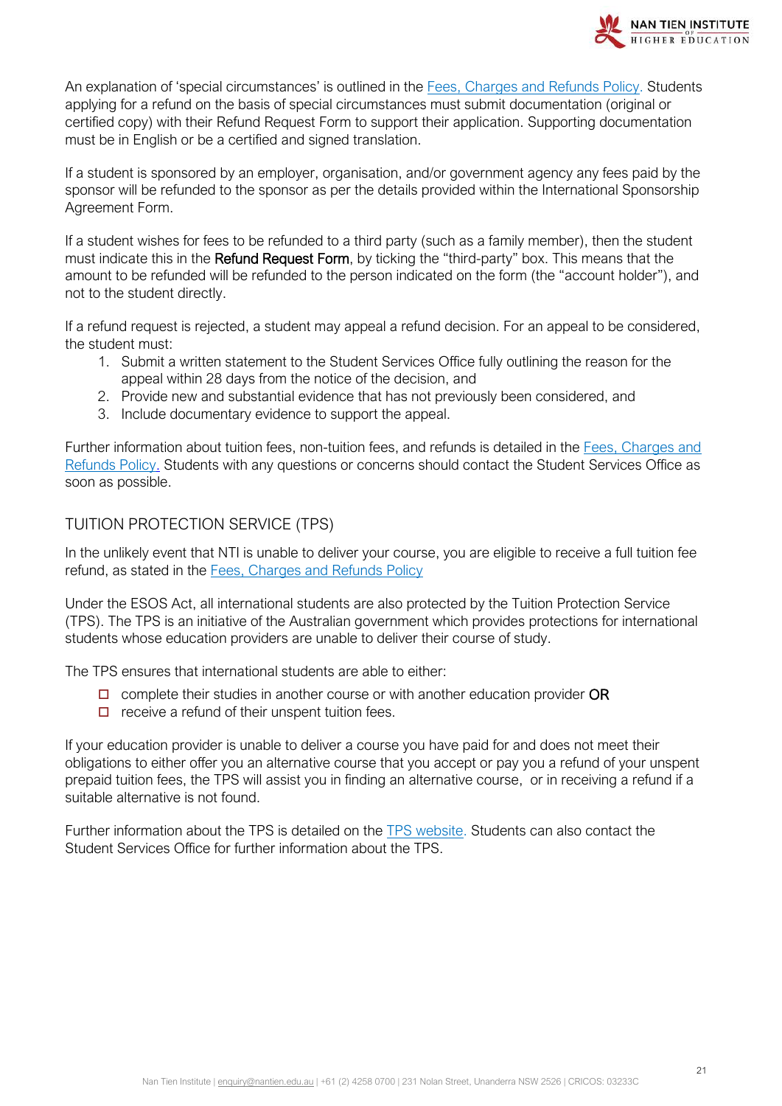

An explanation of 'special circumstances' is outlined in the [Fees, Charges and Refunds Policy.](https://policy.nantien.edu.au/student-services/fees-charges-and-refunds-policy) Students applying for a refund on the basis of special circumstances must submit documentation (original or certified copy) with their Refund Request Form to support their application. Supporting documentation must be in English or be a certified and signed translation.

If a student is sponsored by an employer, organisation, and/or government agency any fees paid by the sponsor will be refunded to the sponsor as per the details provided within the International Sponsorship Agreement Form.

If a student wishes for fees to be refunded to a third party (such as a family member), then the student must indicate this in the Refund Request Form, by ticking the "third-party" box. This means that the amount to be refunded will be refunded to the person indicated on the form (the "account holder"), and not to the student directly.

If a refund request is rejected, a student may appeal a refund decision. For an appeal to be considered, the student must:

- 1. Submit a written statement to the Student Services Office fully outlining the reason for the appeal within 28 days from the notice of the decision, and
- 2. Provide new and substantial evidence that has not previously been considered, and
- 3. Include documentary evidence to support the appeal.

Further information about tuition fees, non-tuition fees, and refunds is detailed in the Fees, Charges and [Refunds Policy.](https://policy.nantien.edu.au/student-services/fees-charges-and-refunds-policy) Students with any questions or concerns should contact the Student Services Office as soon as possible.

#### <span id="page-20-0"></span>TUITION PROTECTION SERVICE (TPS)

In the unlikely event that NTI is unable to deliver your course, you are eligible to receive a full tuition fee refund, as stated in the [Fees, Charges and Refunds Policy](https://policy.nantien.edu.au/student-services/fees-charges-and-refunds-policy)

Under the ESOS Act, all international students are also protected by the Tuition Protection Service (TPS). The TPS is an initiative of the Australian government which provides protections for international students whose education providers are unable to deliver their course of study.

The TPS ensures that international students are able to either:

- $\Box$  complete their studies in another course or with another education provider OR
- $\Box$  receive a refund of their unspent tuition fees.

If your education provider is unable to deliver a course you have paid for and does not meet their obligations to either offer you an alternative course that you accept or pay you a refund of your unspent prepaid tuition fees, the TPS will assist you in finding an alternative course, or in receiving a refund if a suitable alternative is not found.

Further information about the TPS is detailed on the [TPS website.](https://tps.gov.au/Home/) Students can also contact the Student Services Office for further information about the TPS.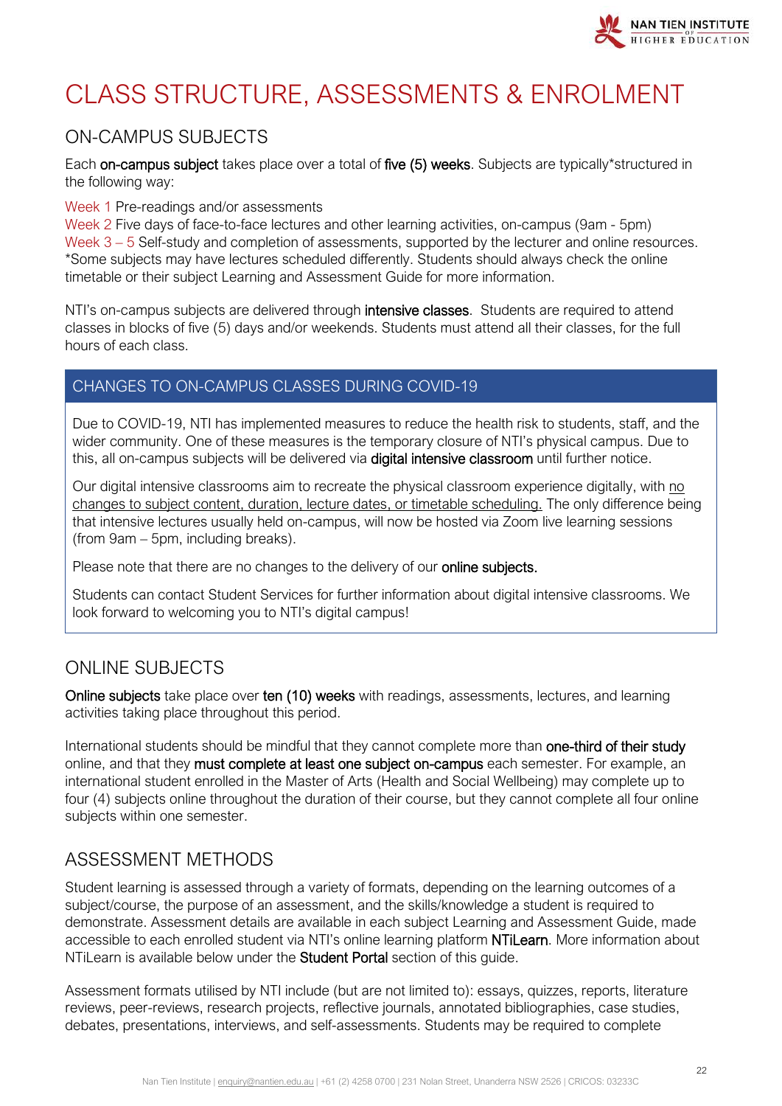

# <span id="page-21-0"></span>CLASS STRUCTURE, ASSESSMENTS & ENROLMENT

# <span id="page-21-1"></span>ON-CAMPUS SUBJECTS

Each on-campus subject takes place over a total of five (5) weeks. Subjects are typically\*structured in the following way:

#### Week 1 Pre-readings and/or assessments

Week 2 Five days of face-to-face lectures and other learning activities, on-campus (9am - 5pm) Week 3 – 5 Self-study and completion of assessments, supported by the lecturer and online resources. \*Some subjects may have lectures scheduled differently. Students should always check the online timetable or their subject Learning and Assessment Guide for more information.

NTI's on-campus subjects are delivered through *intensive classes*. Students are required to attend classes in blocks of five (5) days and/or weekends. Students must attend all their classes, for the full hours of each class.

#### CHANGES TO ON-CAMPUS CLASSES DURING COVID-19

Due to COVID-19, NTI has implemented measures to reduce the health risk to students, staff, and the wider community. One of these measures is the temporary closure of NTI's physical campus. Due to this, all on-campus subjects will be delivered via digital intensive classroom until further notice.

Our digital intensive classrooms aim to recreate the physical classroom experience digitally, with no changes to subject content, duration, lecture dates, or timetable scheduling. The only difference being that intensive lectures usually held on-campus, will now be hosted via Zoom live learning sessions (from 9am – 5pm, including breaks).

Please note that there are no changes to the delivery of our online subjects.

Students can contact Student Services for further information about digital intensive classrooms. We look forward to welcoming you to NTI's digital campus!

# <span id="page-21-2"></span>ONLINE SUBJECTS

Online subjects take place over ten (10) weeks with readings, assessments, lectures, and learning activities taking place throughout this period.

International students should be mindful that they cannot complete more than one-third of their study online, and that they must complete at least one subject on-campus each semester. For example, an international student enrolled in the Master of Arts (Health and Social Wellbeing) may complete up to four (4) subjects online throughout the duration of their course, but they cannot complete all four online subjects within one semester.

# <span id="page-21-3"></span>ASSESSMENT METHODS

Student learning is assessed through a variety of formats, depending on the learning outcomes of a subject/course, the purpose of an assessment, and the skills/knowledge a student is required to demonstrate. Assessment details are available in each subject Learning and Assessment Guide, made accessible to each enrolled student via NTI's online learning platform NTiLearn. More information about NTiLearn is available below under the **Student Portal** section of this quide.

Assessment formats utilised by NTI include (but are not limited to): essays, quizzes, reports, literature reviews, peer-reviews, research projects, reflective journals, annotated bibliographies, case studies, debates, presentations, interviews, and self-assessments. Students may be required to complete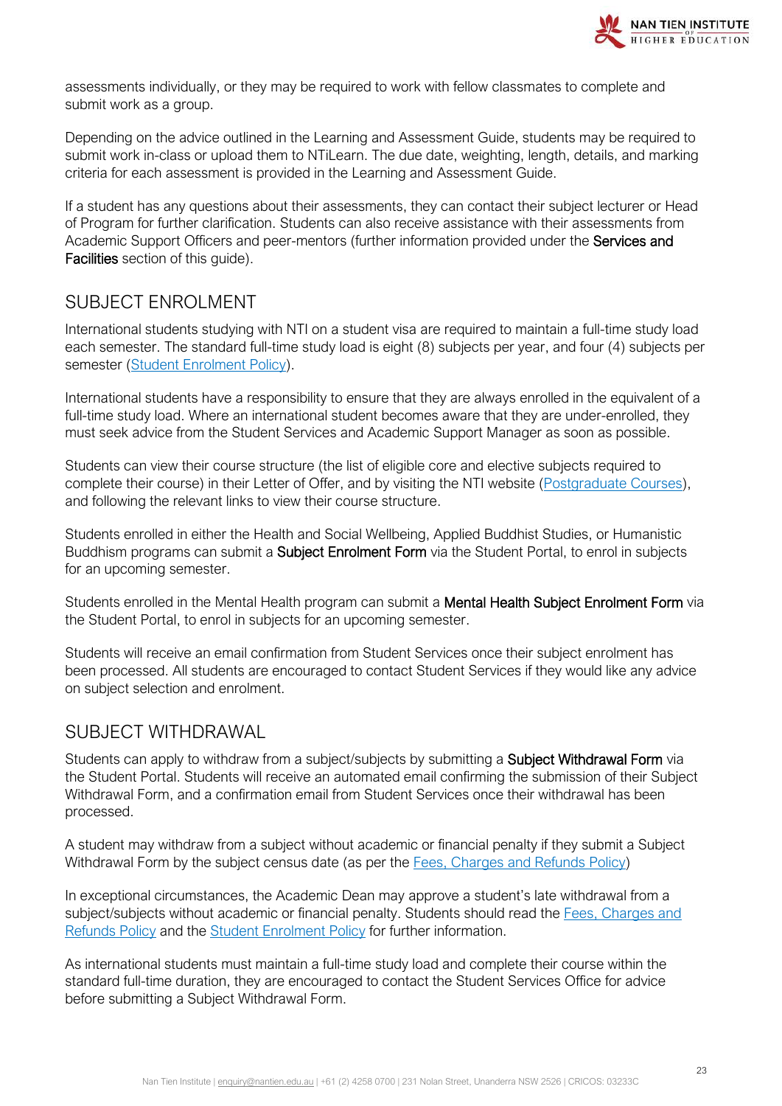

assessments individually, or they may be required to work with fellow classmates to complete and submit work as a group.

Depending on the advice outlined in the Learning and Assessment Guide, students may be required to submit work in-class or upload them to NTiLearn. The due date, weighting, length, details, and marking criteria for each assessment is provided in the Learning and Assessment Guide.

If a student has any questions about their assessments, they can contact their subject lecturer or Head of Program for further clarification. Students can also receive assistance with their assessments from Academic Support Officers and peer-mentors (further information provided under the Services and Facilities section of this guide).

# <span id="page-22-0"></span>SUBJECT ENROLMENT

International students studying with NTI on a student visa are required to maintain a full-time study load each semester. The standard full-time study load is eight (8) subjects per year, and four (4) subjects per semester [\(Student Enrolment Policy\)](https://policy.nantien.edu.au/student-services/student-enrolment-policy).

International students have a responsibility to ensure that they are always enrolled in the equivalent of a full-time study load. Where an international student becomes aware that they are under-enrolled, they must seek advice from the Student Services and Academic Support Manager as soon as possible.

Students can view their course structure (the list of eligible core and elective subjects required to complete their course) in their Letter of Offer, and by visiting the NTI website [\(Postgraduate Courses\)](https://www.nantien.edu.au/courses/), and following the relevant links to view their course structure.

Students enrolled in either the Health and Social Wellbeing, Applied Buddhist Studies, or Humanistic Buddhism programs can submit a **Subject Enrolment Form** via the Student Portal, to enrol in subjects for an upcoming semester.

Students enrolled in the Mental Health program can submit a Mental Health Subject Enrolment Form via the Student Portal, to enrol in subjects for an upcoming semester.

Students will receive an email confirmation from Student Services once their subject enrolment has been processed. All students are encouraged to contact Student Services if they would like any advice on subject selection and enrolment.

# <span id="page-22-1"></span>SUBJECT WITHDRAWAL

Students can apply to withdraw from a subject/subjects by submitting a **Subject Withdrawal Form** via the Student Portal. Students will receive an automated email confirming the submission of their Subject Withdrawal Form, and a confirmation email from Student Services once their withdrawal has been processed.

A student may withdraw from a subject without academic or financial penalty if they submit a Subject Withdrawal Form by the subject census date (as per the [Fees, Charges and Refunds Policy\)](https://policy.nantien.edu.au/student-services/fees-charges-and-refunds-policy)

In exceptional circumstances, the Academic Dean may approve a student's late withdrawal from a subject/subjects without academic or financial penalty. Students should read the [Fees, Charges and](https://policy.nantien.edu.au/student-services/fees-charges-and-refunds-policy)  [Refunds Policy](https://policy.nantien.edu.au/student-services/fees-charges-and-refunds-policy) and the [Student Enrolment Policy](https://policy.nantien.edu.au/student-services/student-enrolment-policy) for further information.

As international students must maintain a full-time study load and complete their course within the standard full-time duration, they are encouraged to contact the Student Services Office for advice before submitting a Subject Withdrawal Form.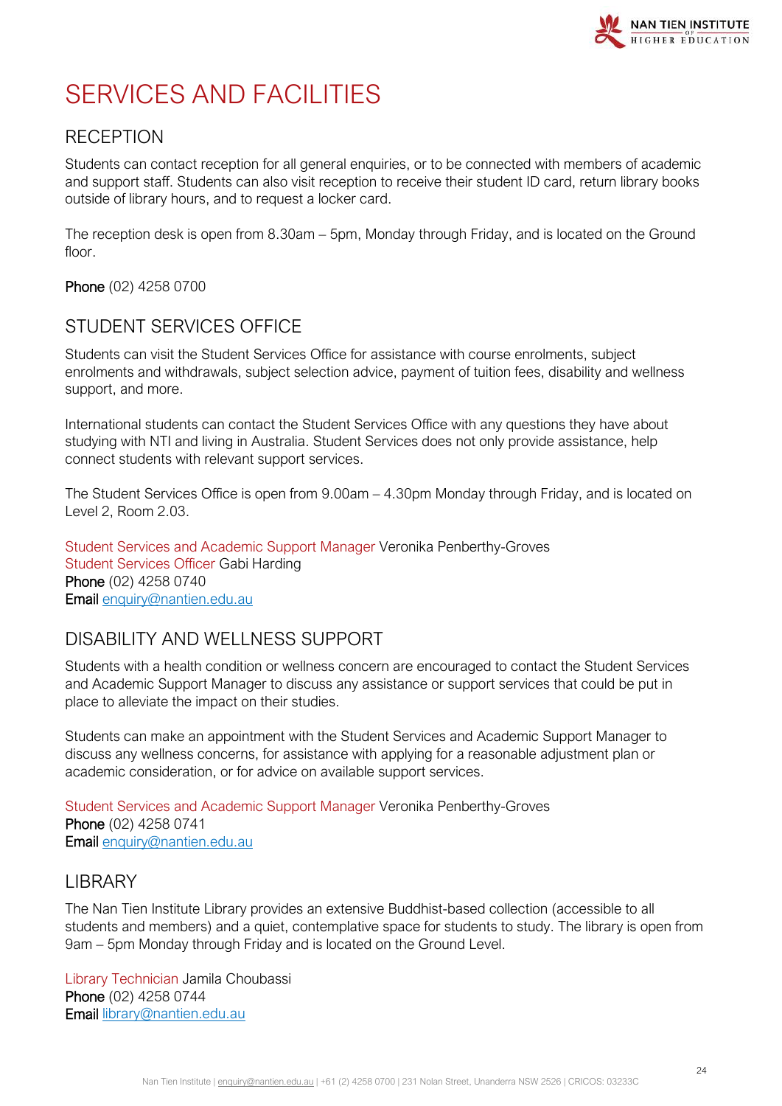# <span id="page-23-0"></span>SERVICES AND FACILITIES

# <span id="page-23-1"></span>**RECEPTION**

Students can contact reception for all general enquiries, or to be connected with members of academic and support staff. Students can also visit reception to receive their student ID card, return library books outside of library hours, and to request a locker card.

The reception desk is open from 8.30am – 5pm, Monday through Friday, and is located on the Ground floor.

Phone (02) 4258 0700

# <span id="page-23-2"></span>STUDENT SERVICES OFFICE

Students can visit the Student Services Office for assistance with course enrolments, subject enrolments and withdrawals, subject selection advice, payment of tuition fees, disability and wellness support, and more.

International students can contact the Student Services Office with any questions they have about studying with NTI and living in Australia. Student Services does not only provide assistance, help connect students with relevant support services.

The Student Services Office is open from 9.00am – 4.30pm Monday through Friday, and is located on Level 2, Room 2.03.

Student Services and Academic Support Manager Veronika Penberthy-Groves Student Services Officer Gabi Harding Phone (02) 4258 0740 Email [enquiry@nantien.edu.au](mailto:enquiry@nantien.edu.au)

# <span id="page-23-3"></span>DISABILITY AND WELLNESS SUPPORT

Students with a health condition or wellness concern are encouraged to contact the Student Services and Academic Support Manager to discuss any assistance or support services that could be put in place to alleviate the impact on their studies.

Students can make an appointment with the Student Services and Academic Support Manager to discuss any wellness concerns, for assistance with applying for a reasonable adjustment plan or academic consideration, or for advice on available support services.

Student Services and Academic Support Manager Veronika Penberthy-Groves Phone (02) 4258 0741 Email [enquiry@nantien.edu.au](mailto:enquiry@nantien.edu.au)

# <span id="page-23-4"></span>LIBRARY

The Nan Tien Institute Library provides an extensive Buddhist-based collection (accessible to all students and members) and a quiet, contemplative space for students to study. The library is open from 9am – 5pm Monday through Friday and is located on the Ground Level.

Library Technician Jamila Choubassi Phone (02) 4258 0744 Email [library@nantien.edu.au](mailto:library@nantien.edu.au)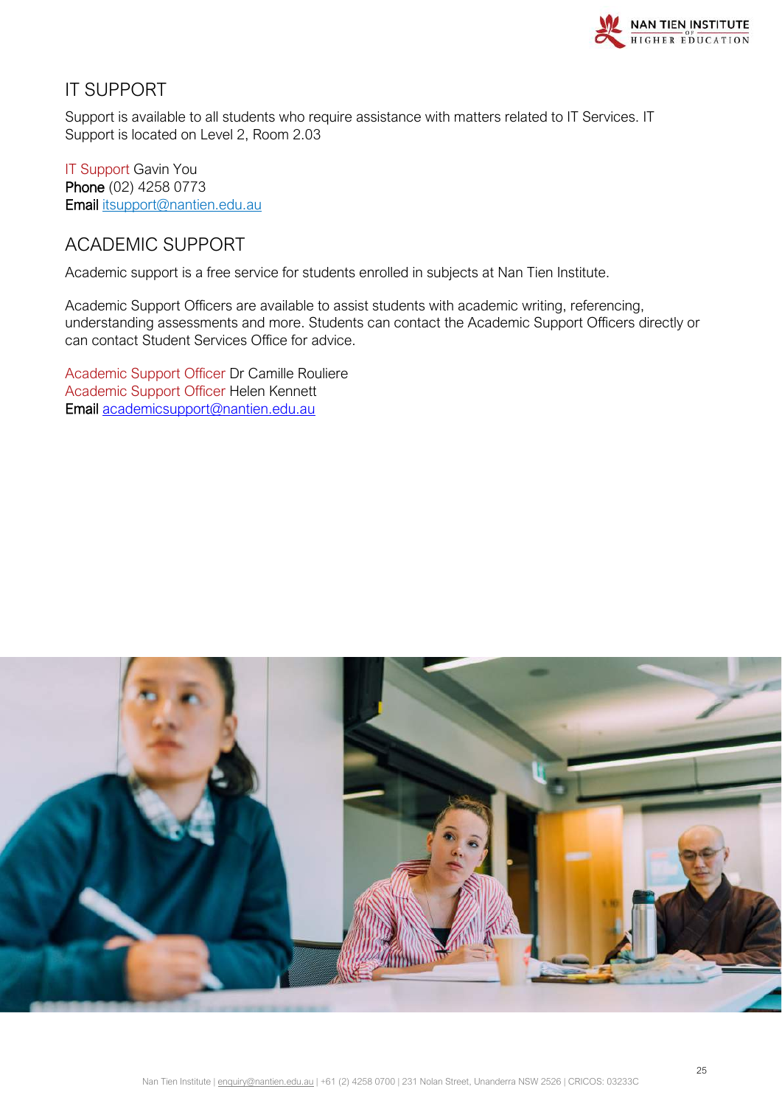

# <span id="page-24-0"></span>IT SUPPORT

Support is available to all students who require assistance with matters related to IT Services. IT Support is located on Level 2, Room 2.03

IT Support Gavin You Phone (02) 4258 0773 Email [itsupport@nantien.edu.au](mailto:itsupport@nantien.edu.au)

# <span id="page-24-1"></span>ACADEMIC SUPPORT

Academic support is a free service for students enrolled in subjects at Nan Tien Institute.

Academic Support Officers are available to assist students with academic writing, referencing, understanding assessments and more. Students can contact the Academic Support Officers directly or can contact Student Services Office for advice.

Academic Support Officer Dr Camille Rouliere Academic Support Officer Helen Kennett Email [academicsupport@nantien.edu.au](mailto:academicsupport@nantien.edu.au)

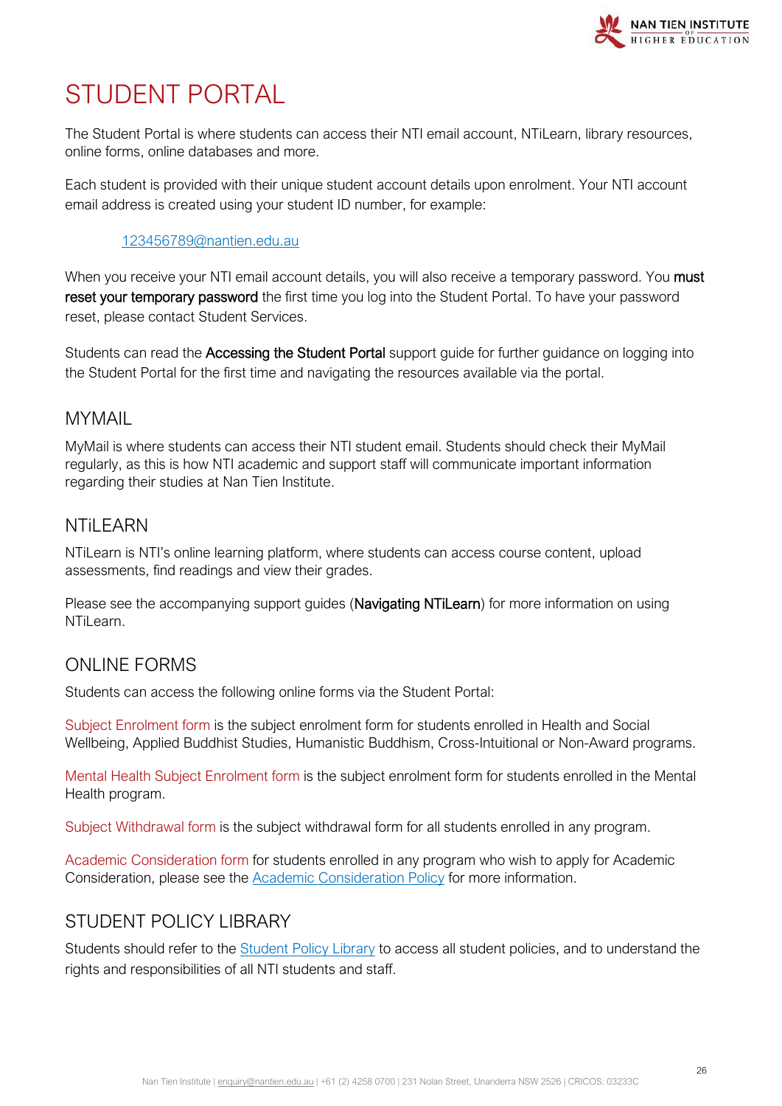

# <span id="page-25-0"></span>STUDENT PORTAL

The Student Portal is where students can access their NTI email account, NTiLearn, library resources, online forms, online databases and more.

Each student is provided with their unique student account details upon enrolment. Your NTI account email address is created using your student ID number, for example:

#### [123456789@nantien.edu.au](mailto:123456789@nantien.edu.au)

When you receive your NTI email account details, you will also receive a temporary password. You must reset your temporary password the first time you log into the Student Portal. To have your password reset, please contact Student Services.

Students can read the Accessing the Student Portal support quide for further quidance on logging into the Student Portal for the first time and navigating the resources available via the portal.

#### <span id="page-25-1"></span>MYMAIL

MyMail is where students can access their NTI student email. Students should check their MyMail regularly, as this is how NTI academic and support staff will communicate important information regarding their studies at Nan Tien Institute.

#### <span id="page-25-2"></span>**NTil FARN**

NTiLearn is NTI's online learning platform, where students can access course content, upload assessments, find readings and view their grades.

Please see the accompanying support guides (Navigating NTiLearn) for more information on using NTiLearn.

### <span id="page-25-3"></span>ONLINE FORMS

Students can access the following online forms via the Student Portal:

Subject Enrolment form is the subject enrolment form for students enrolled in Health and Social Wellbeing, Applied Buddhist Studies, Humanistic Buddhism, Cross-Intuitional or Non-Award programs.

Mental Health Subject Enrolment form is the subject enrolment form for students enrolled in the Mental Health program.

Subject Withdrawal form is the subject withdrawal form for all students enrolled in any program.

Academic Consideration form for students enrolled in any program who wish to apply for Academic Consideration, please see the [Academic Consideration Policy](https://policy.nantien.edu.au/student-services/student-academic-consideration-policy) for more information.

# <span id="page-25-4"></span>STUDENT POLICY LIBRARY

Students should refer to the **[Student Policy Library](https://policy.nantien.edu.au/student-services)** to access all student policies, and to understand the rights and responsibilities of all NTI students and staff.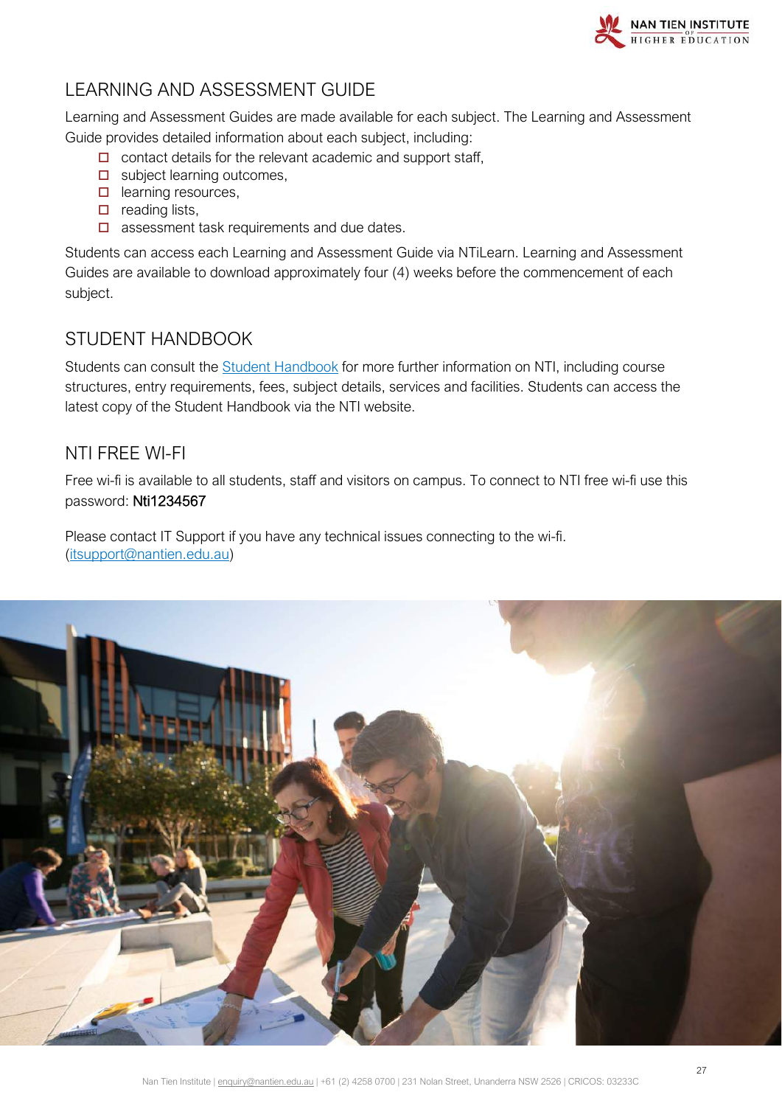

# <span id="page-26-0"></span>LEARNING AND ASSESSMENT GUIDE

Learning and Assessment Guides are made available for each subject. The Learning and Assessment Guide provides detailed information about each subject, including:

- $\Box$  contact details for the relevant academic and support staff,
- $\square$  subject learning outcomes,
- $\Box$  learning resources,
- $\Box$  reading lists,
- $\square$  assessment task requirements and due dates.

Students can access each Learning and Assessment Guide via NTiLearn. Learning and Assessment Guides are available to download approximately four (4) weeks before the commencement of each subject.

# <span id="page-26-1"></span>STUDENT HANDBOOK

Students can consult the [Student Handbook](https://cdn2.hubspot.net/hubfs/2583754/NTI-Student-Handbook.pdf) for more further information on NTI, including course structures, entry requirements, fees, subject details, services and facilities. Students can access the latest copy of the Student Handbook via the NTI website.

# <span id="page-26-2"></span>NTI FREE WI-FI

Free wi-fi is available to all students, staff and visitors on campus. To connect to NTI free wi-fi use this password: Nti1234567

Please contact IT Support if you have any technical issues connecting to the wi-fi. [\(itsupport@nantien.edu.au\)](mailto:itsupport@nantien.edu.au)

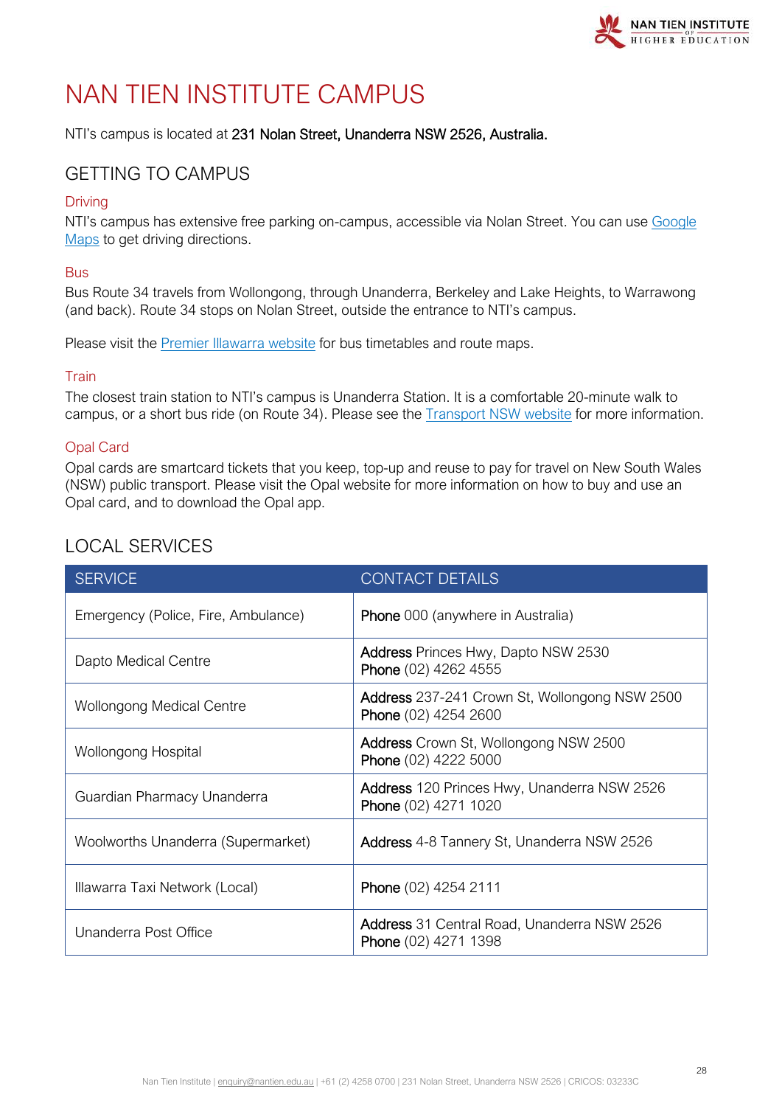

# <span id="page-27-0"></span>NAN TIEN INSTITUTE CAMPUS

NTI's campus is located at 231 Nolan Street, Unanderra NSW 2526, Australia.

# <span id="page-27-1"></span>GETTING TO CAMPUS

#### **Driving**

NTI's campus has extensive free parking on-campus, accessible via Nolan Street. You can use [Google](https://www.google.com/maps/)  [Maps](https://www.google.com/maps/) to get driving directions.

#### Bus

Bus Route 34 travels from Wollongong, through Unanderra, Berkeley and Lake Heights, to Warrawong (and back). Route 34 stops on Nolan Street, outside the entrance to NTI's campus.

Please visit the **[Premier Illawarra website](http://www.premierillawarra.com.au/index.html)** for bus timetables and route maps.

#### Train

The closest train station to NTI's campus is Unanderra Station. It is a comfortable 20-minute walk to campus, or a short bus ride (on Route 34). Please see the [Transport NSW website](https://transportnsw.info/) [f](https://transportnsw.info/)or more information.

#### Opal Card

Opal cards are smartcard tickets that you keep, top-up and reuse to pay for travel on New South Wales (NSW) public transport. Please visit the [Opal website](https://www.opal.com.au/) for more information on how to buy and use an Opal card, and to download the Opal app.

# <span id="page-27-2"></span>LOCAL SERVICES

| <b>SERVICE</b>                      | <b>CONTACT DETAILS</b>                                                     |
|-------------------------------------|----------------------------------------------------------------------------|
| Emergency (Police, Fire, Ambulance) | <b>Phone</b> 000 (anywhere in Australia)                                   |
| Dapto Medical Centre                | <b>Address Princes Hwy, Dapto NSW 2530</b><br>Phone (02) 4262 4555         |
| <b>Wollongong Medical Centre</b>    | Address 237-241 Crown St, Wollongong NSW 2500<br>Phone (02) 4254 2600      |
| Wollongong Hospital                 | <b>Address</b> Crown St, Wollongong NSW 2500<br>Phone (02) 4222 5000       |
| Guardian Pharmacy Unanderra         | <b>Address</b> 120 Princes Hwy, Unanderra NSW 2526<br>Phone (02) 4271 1020 |
| Woolworths Unanderra (Supermarket)  | <b>Address</b> 4-8 Tannery St, Unanderra NSW 2526                          |
| Illawarra Taxi Network (Local)      | Phone (02) 4254 2111                                                       |
| Unanderra Post Office               | <b>Address</b> 31 Central Road, Unanderra NSW 2526<br>Phone (02) 4271 1398 |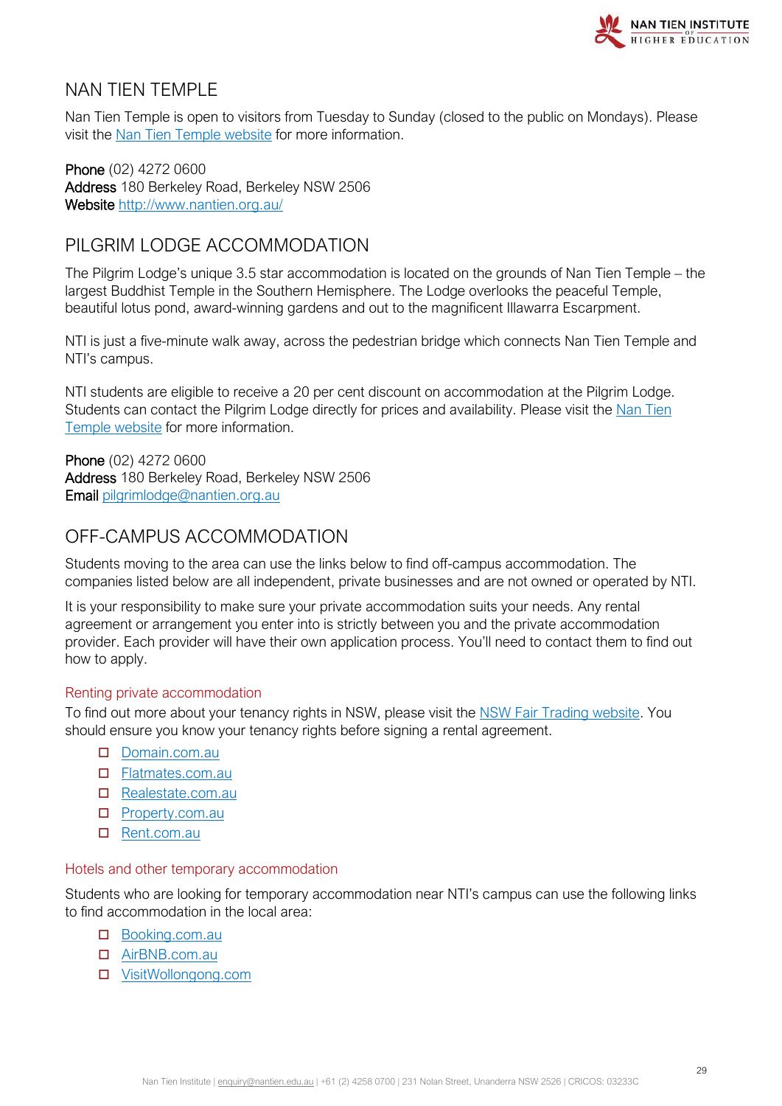

### <span id="page-28-0"></span>NAN TIEN TEMPLE

Nan Tien Temple is open to visitors from Tuesday to Sunday (closed to the public on Mondays). Please visit the [Nan Tien Temple website](https://www.nantien.org.au/) for more information.

Phone (02) 4272 0600 Address 180 Berkeley Road, Berkeley NSW 2506 Website<http://www.nantien.org.au/>

# <span id="page-28-1"></span>PILGRIM LODGE ACCOMMODATION

The Pilgrim Lodge's unique 3.5 star accommodation is located on the grounds of Nan Tien Temple – the largest Buddhist Temple in the Southern Hemisphere. The Lodge overlooks the peaceful Temple, beautiful lotus pond, award-winning gardens and out to the magnificent Illawarra Escarpment.

NTI is just a five-minute walk away, across the pedestrian bridge which connects Nan Tien Temple and NTI's campus.

NTI students are eligible to receive a 20 per cent discount on accommodation at the Pilgrim Lodge. Students can contact the Pilgrim Lodge directly for prices and availability. Please visit the [Nan Tien](https://www.nantien.org.au/en/visitor-info/accommodation)  [Temple website](https://www.nantien.org.au/en/visitor-info/accommodation) for more information.

Phone (02) 4272 0600 Address 180 Berkeley Road, Berkeley NSW 2506 Email [pilgrimlodge@nantien.org.au](mailto:pilgrimlodge@nantien.org.au)

# <span id="page-28-2"></span>OFF-CAMPUS ACCOMMODATION

Students moving to the area can use the links below to find off-campus accommodation. The companies listed below are all independent, private businesses and are not owned or operated by NTI.

It is your responsibility to make sure your private accommodation suits your needs. Any rental agreement or arrangement you enter into is strictly between you and the private accommodation provider. Each provider will have their own application process. You'll need to contact them to find out how to apply.

#### Renting private accommodation

To find out more about your tenancy rights in NSW, please visit the [NSW Fair Trading website.](https://www.fairtrading.nsw.gov.au/housing-and-property/renting) You should ensure you know your tenancy rights before signing a rental agreement.

- D [Domain.com.au](https://www.domain.com.au/)
- [Flatmates.com.au](https://flatmates.com.au/wollongong)
- [Realestate.com.au](https://www.realestate.com.au/buy)
- □ [Property.com.au](https://www.realestate.com.au/buy)
- □ [Rent.com.au](https://www.rent.com.au/)

#### Hotels and other temporary accommodation

Students who are looking for temporary accommodation near NTI's campus can use the following links to find accommodation in the local area:

- Booking.com.au
- [AirBNB.com.au](https://www.airbnb.com.au/)
- [VisitWollongong.com](https://www.visitwollongong.com.au/)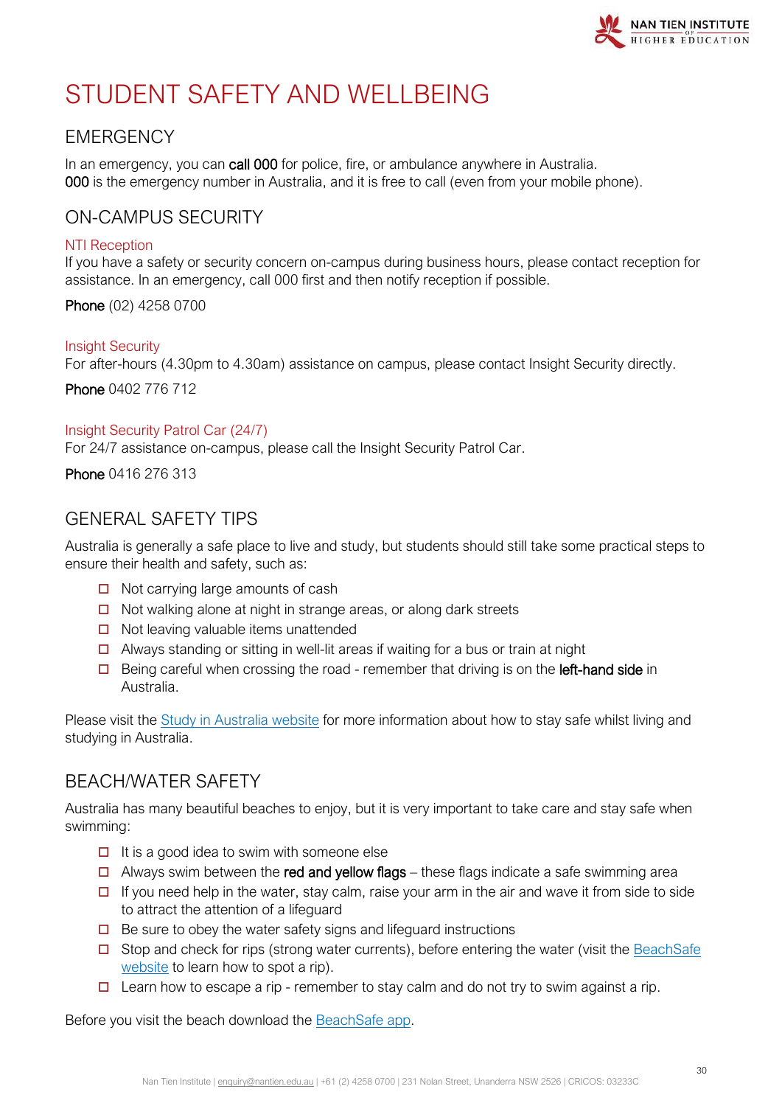

# <span id="page-29-0"></span>STUDENT SAFETY AND WELLBEING

# <span id="page-29-1"></span>**EMERGENCY**

In an emergency, you can call 000 for police, fire, or ambulance anywhere in Australia. 000 is the emergency number in Australia, and it is free to call (even from your mobile phone).

### <span id="page-29-2"></span>ON-CAMPUS SECURITY

#### NTI Reception

If you have a safety or security concern on-campus during business hours, please contact reception for assistance. In an emergency, call 000 first and then notify reception if possible.

Phone (02) 4258 0700

#### Insight Security

For after-hours (4.30pm to 4.30am) assistance on campus, please contact Insight Security directly.

Phone 0402 776 712

#### Insight Security Patrol Car (24/7)

For 24/7 assistance on-campus, please call the Insight Security Patrol Car.

#### Phone 0416 276 313

# <span id="page-29-3"></span>GENERAL SAFETY TIPS

Australia is generally a safe place to live and study, but students should still take some practical steps to ensure their health and safety, such as:

- $\Box$  Not carrying large amounts of cash
- $\Box$  Not walking alone at night in strange areas, or along dark streets
- $\Box$  Not leaving valuable items unattended
- $\Box$  Always standing or sitting in well-lit areas if waiting for a bus or train at night
- $\Box$  Being careful when crossing the road remember that driving is on the **left-hand side** in Australia.

Please visit the **Study in Australia website** for more information about how to stay safe whilst living and studying in Australia.

# <span id="page-29-4"></span>BEACH/WATER SAFETY

Australia has many beautiful beaches to enjoy, but it is very important to take care and stay safe when swimming:

- $\Box$  It is a good idea to swim with someone else
- $\Box$  Always swim between the red and yellow flags these flags indicate a safe swimming area
- $\Box$  If you need help in the water, stay calm, raise your arm in the air and wave it from side to side to attract the attention of a lifeguard
- $\Box$  Be sure to obey the water safety signs and lifeguard instructions
- $\square$  Stop and check for rips (strong water currents), before entering the water (visit the BeachSafe [website](https://beachsafe.org.au/) to learn how to spot a rip).
- $\Box$  Learn how to escape a rip remember to stay calm and do not try to swim against a rip.

Before you visit the beach download the [BeachSafe app.](https://beachsafe.org.au/apps)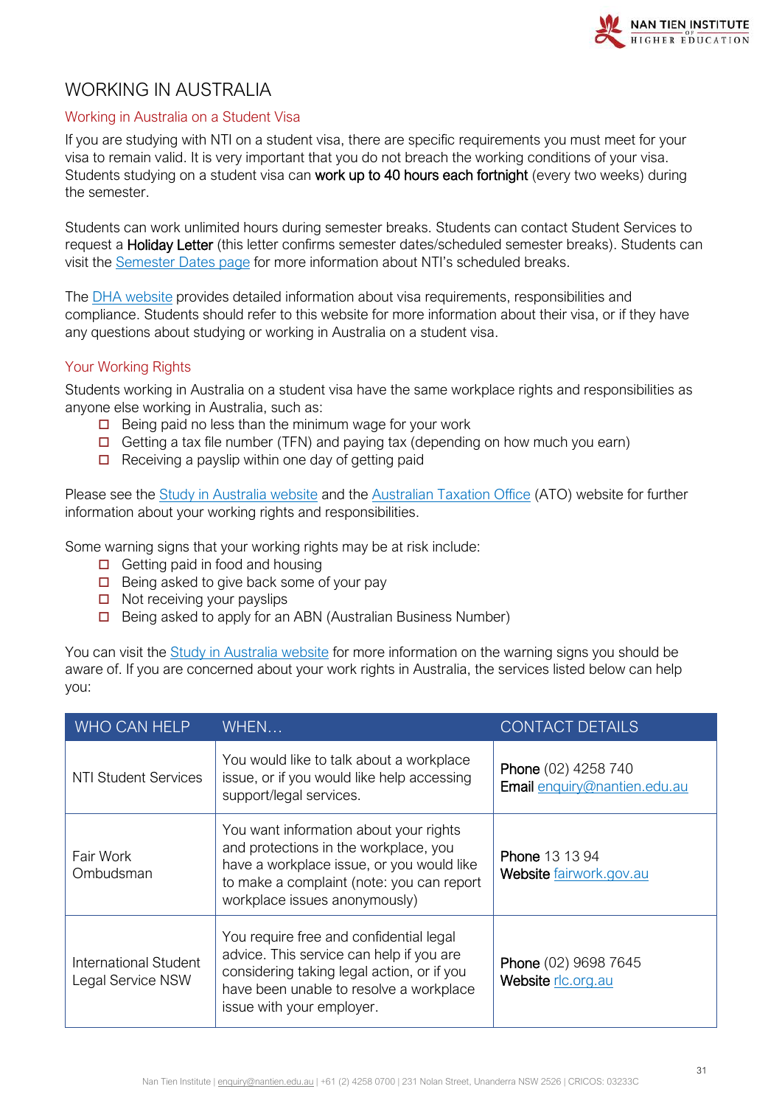# <span id="page-30-0"></span>WORKING IN AUSTRALIA

#### Working in Australia on a Student Visa

If you are studying with NTI on a student visa, there are specific requirements you must meet for your visa to remain valid. It is very important that you do not breach the working conditions of your visa. Students studying on a student visa can work up to 40 hours each fortnight (every two weeks) during the semester.

Students can work unlimited hours during semester breaks. Students can contact Student Services to request a Holiday Letter (this letter confirms semester dates/scheduled semester breaks). Students can visit the [Semester Dates page](https://www.nantien.edu.au/semester-dates/) for more information about NTI's scheduled breaks.

The [DHA website](https://immi.homeaffairs.gov.au/visas/getting-a-visa/visa-finder) provides detailed information about visa requirements, responsibilities and compliance. Students should refer to this website for more information about their visa, or if they have any questions about studying or working in Australia on a student visa.

#### Your Working Rights

Students working in Australia on a student visa have the same workplace rights and responsibilities as anyone else working in Australia, such as:

- $\Box$  Being paid no less than the minimum wage for your work
- Getting a tax file number (TFN) and paying tax (depending on how much you earn)
- $\Box$  Receiving a payslip within one day of getting paid

Please see the [Study in Australia website](https://www.studyinaustralia.gov.au/English/Live-in-Australia/Work/your-work-rights-explained) and the [Australian Taxation Office](https://www.ato.gov.au/Individuals/International-tax-for-individuals/Coming-to-Australia/Studying-in-Australia/) (ATO) website for further information about your working rights and responsibilities.

Some warning signs that your working rights may be at risk include:

- $\Box$  Getting paid in food and housing
- $\Box$  Being asked to give back some of your pay
- $\Box$  Not receiving your payslips
- $\Box$  Being asked to apply for an ABN (Australian Business Number)

You can visit the [Study in Australia website](https://www.studyinaustralia.gov.au/English/Live-in-Australia/Work/are-your-work-rights-at-risk) for more information on the warning signs you should be aware of. If you are concerned about your work rights in Australia, the services listed below can help you:

| WHO CAN HELP                               | WHEN                                                                                                                                                                                                       | <b>CONTACT DETAILS</b>                              |
|--------------------------------------------|------------------------------------------------------------------------------------------------------------------------------------------------------------------------------------------------------------|-----------------------------------------------------|
| NTI Student Services                       | You would like to talk about a workplace<br>issue, or if you would like help accessing<br>support/legal services.                                                                                          | Phone (02) 4258 740<br>Email enquiry@nantien.edu.au |
| Fair Work<br>Ombudsman                     | You want information about your rights<br>and protections in the workplace, you<br>have a workplace issue, or you would like<br>to make a complaint (note: you can report<br>workplace issues anonymously) | <b>Phone 13 13 94</b><br>Website fairwork.gov.au    |
| International Student<br>Legal Service NSW | You require free and confidential legal<br>advice. This service can help if you are<br>considering taking legal action, or if you<br>have been unable to resolve a workplace<br>issue with your employer.  | Phone (02) 9698 7645<br>Website rlc.org.au          |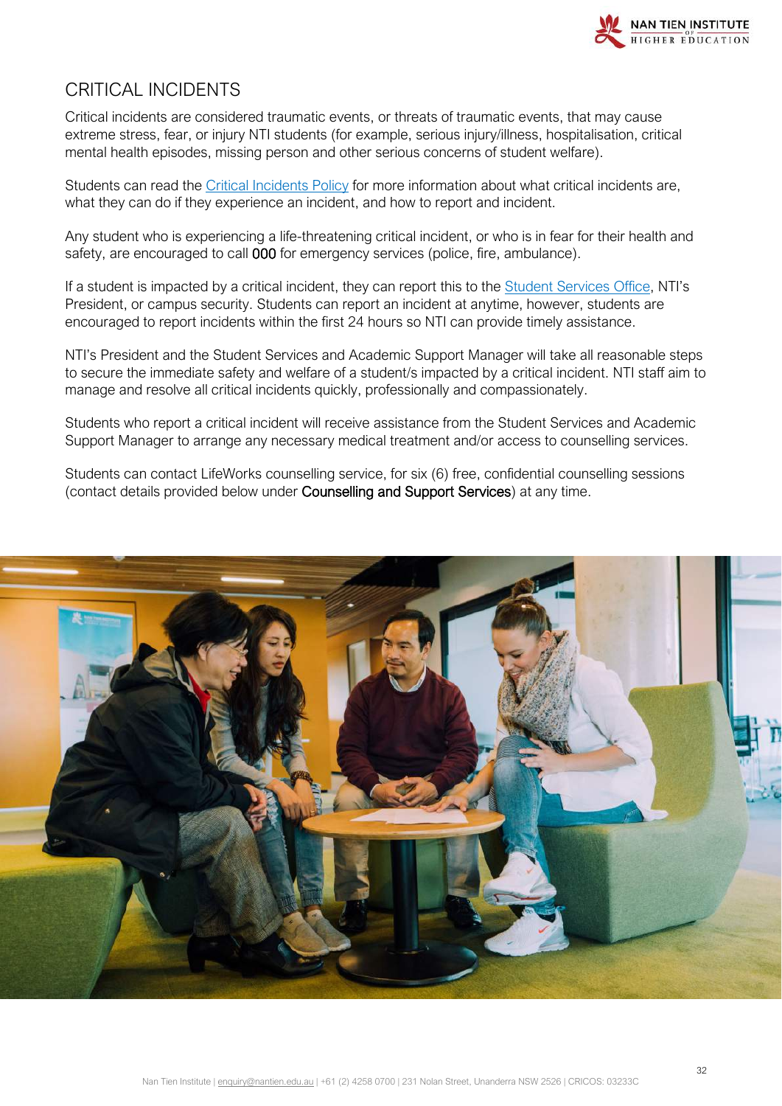

# <span id="page-31-0"></span>CRITICAL INCIDENTS

Critical incidents are considered traumatic events, or threats of traumatic events, that may cause extreme stress, fear, or injury NTI students (for example, serious injury/illness, hospitalisation, critical mental health episodes, missing person and other serious concerns of student welfare).

Students can read the [Critical Incidents Policy](https://policy.nantien.edu.au/student-services) for more information about what critical incidents are, what they can do if they experience an incident, and how to report and incident.

Any student who is experiencing a life-threatening critical incident, or who is in fear for their health and safety, are encouraged to call 000 for emergency services (police, fire, ambulance).

If a student is impacted by a critical incident, they can report this to the [Student Services Office,](mailto:enquiry@nantien.edu.au) NTI's President, or campus security. Students can report an incident at anytime, however, students are encouraged to report incidents within the first 24 hours so NTI can provide timely assistance.

NTI's President and the Student Services and Academic Support Manager will take all reasonable steps to secure the immediate safety and welfare of a student/s impacted by a critical incident. NTI staff aim to manage and resolve all critical incidents quickly, professionally and compassionately.

Students who report a critical incident will receive assistance from the Student Services and Academic Support Manager to arrange any necessary medical treatment and/or access to counselling services.

Students can contact LifeWorks counselling service, for six (6) free, confidential counselling sessions (contact details provided below under Counselling and Support Services) at any time.

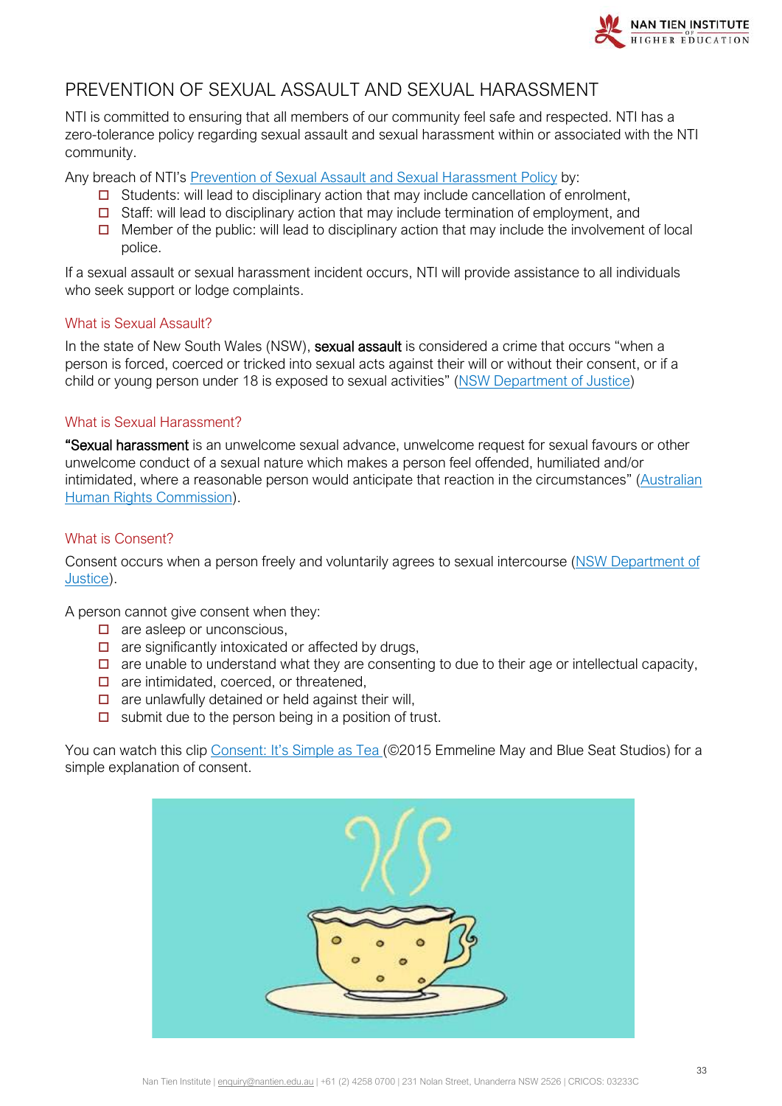

# <span id="page-32-0"></span>PREVENTION OF SEXUAL ASSAULT AND SEXUAL HARASSMENT

NTI is committed to ensuring that all members of our community feel safe and respected. NTI has a zero-tolerance policy regarding sexual assault and sexual harassment within or associated with the NTI community.

Any breach of NTI's [Prevention of Sexual Assault and Sexual Harassment Policy](https://policy.nantien.edu.au/student-services/prevention-sexual-assault-and-sexual-harassment-policy) by:

- $\Box$  Students: will lead to disciplinary action that may include cancellation of enrolment,
- $\Box$  Staff: will lead to disciplinary action that may include termination of employment, and
- $\Box$  Member of the public: will lead to disciplinary action that may include the involvement of local police.

If a sexual assault or sexual harassment incident occurs, NTI will provide assistance to all individuals who seek support or lodge complaints.

#### What is Sexual Assault?

In the state of New South Wales (NSW), **sexual assault** is considered a crime that occurs "when a person is forced, coerced or tricked into sexual acts against their will or without their consent, or if a child or young person under 18 is exposed to sexual activities" [\(NSW Department of Justice\)](https://www.victimsservices.justice.nsw.gov.au/sexualassault/Pages/sexual_assault_victims.aspx#Consent)

#### What is Sexual Harassment?

"Sexual harassment is an unwelcome sexual advance, unwelcome request for sexual favours or other unwelcome conduct of a sexual nature which makes a person feel offended, humiliated and/or intimidated, where a reasonable person would anticipate that reaction in the circumstances" [\(Australian](https://www.humanrights.gov.au/quick-guide/12096)  [Human Rights Commission\)](https://www.humanrights.gov.au/quick-guide/12096).

#### What is Consent?

Consent occurs when a person freely and voluntarily agrees to sexual intercourse [\(NSW Department of](https://www.victimsservices.justice.nsw.gov.au/sexualassault/Pages/sexual_assault_victims.aspx#Consent)  [Justice\)](https://www.victimsservices.justice.nsw.gov.au/sexualassault/Pages/sexual_assault_victims.aspx#Consent).

A person cannot give consent when they:

- $\Box$  are asleep or unconscious,
- $\Box$  are significantly intoxicated or affected by drugs,
- $\Box$  are unable to understand what they are consenting to due to their age or intellectual capacity,
- $\Box$  are intimidated, coerced, or threatened,
- $\Box$  are unlawfully detained or held against their will.
- $\Box$  submit due to the person being in a position of trust.

You can watch this clip [Consent: It's Simple as Tea](https://www.youtube.com/watch?v=fGoWLWS4-kU) (@2015 Emmeline May and Blue Seat Studios) for a simple explanation of consent.

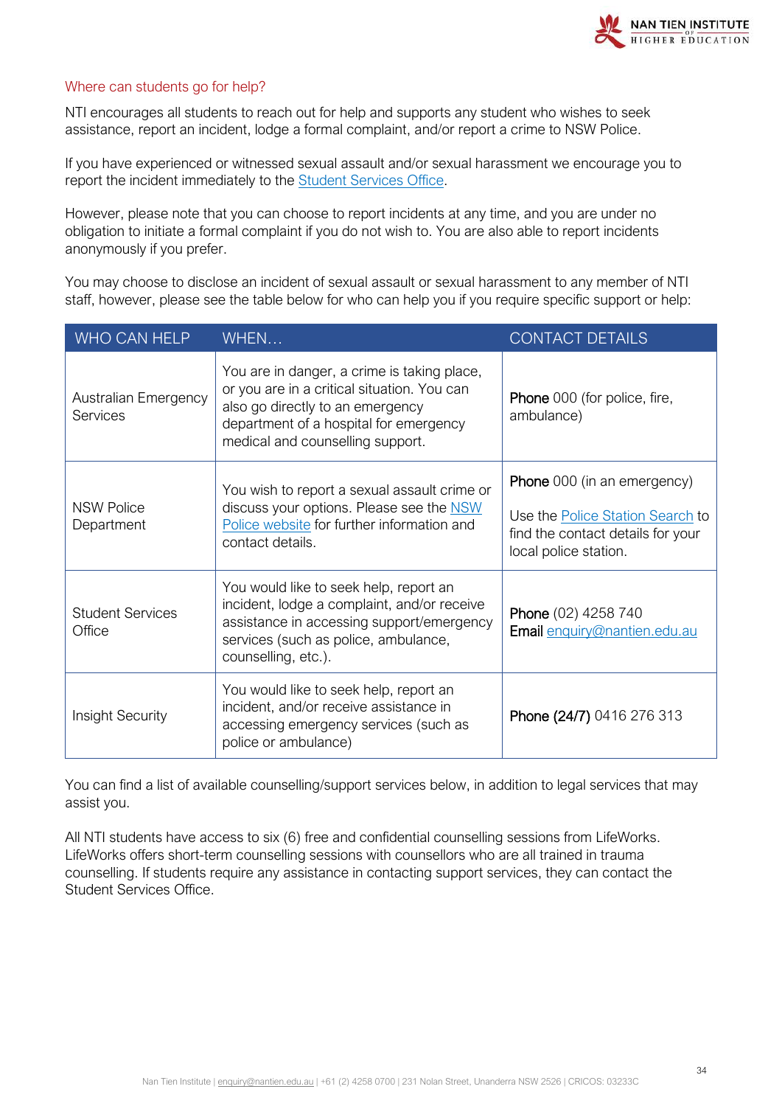

#### Where can students go for help?

NTI encourages all students to reach out for help and supports any student who wishes to seek assistance, report an incident, lodge a formal complaint, and/or report a crime to NSW Police.

If you have experienced or witnessed sexual assault and/or sexual harassment we encourage you to report the incident immediately to the [Student Services Office.](mailto:enquiry@nantien.edu.au)

However, please note that you can choose to report incidents at any time, and you are under no obligation to initiate a formal complaint if you do not wish to. You are also able to report incidents anonymously if you prefer.

You may choose to disclose an incident of sexual assault or sexual harassment to any member of NTI staff, however, please see the table below for who can help you if you require specific support or help:

| <b>WHO CAN HELP</b>                     | WHEN                                                                                                                                                                                                         | <b>CONTACT DETAILS</b>                                                                                                               |
|-----------------------------------------|--------------------------------------------------------------------------------------------------------------------------------------------------------------------------------------------------------------|--------------------------------------------------------------------------------------------------------------------------------------|
| <b>Australian Emergency</b><br>Services | You are in danger, a crime is taking place,<br>or you are in a critical situation. You can<br>also go directly to an emergency<br>department of a hospital for emergency<br>medical and counselling support. | <b>Phone</b> 000 (for police, fire,<br>ambulance)                                                                                    |
| <b>NSW Police</b><br>Department         | You wish to report a sexual assault crime or<br>discuss your options. Please see the NSW<br>Police website for further information and<br>contact details.                                                   | Phone 000 (in an emergency)<br>Use the <b>Police Station Search</b> to<br>find the contact details for your<br>local police station. |
| <b>Student Services</b><br>Office       | You would like to seek help, report an<br>incident, lodge a complaint, and/or receive<br>assistance in accessing support/emergency<br>services (such as police, ambulance,<br>counselling, etc.).            | Phone (02) 4258 740<br>Email enquiry@nantien.edu.au                                                                                  |
| Insight Security                        | You would like to seek help, report an<br>incident, and/or receive assistance in<br>accessing emergency services (such as<br>police or ambulance)                                                            | Phone (24/7) 0416 276 313                                                                                                            |

You can find a list of available counselling/support services below, in addition to legal services that may assist you.

<span id="page-33-0"></span>All NTI students have access to six (6) free and confidential counselling sessions from LifeWorks. LifeWorks offers short-term counselling sessions with counsellors who are all trained in trauma counselling. If students require any assistance in contacting support services, they can contact the Student Services Office.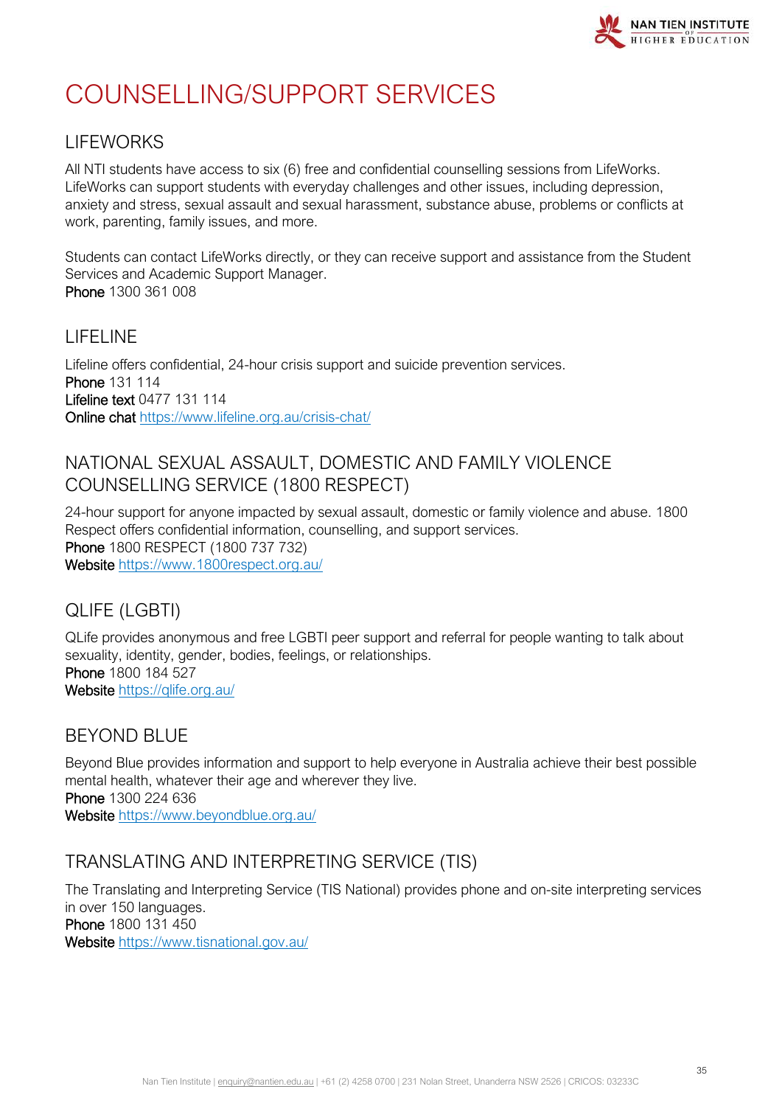

# COUNSELLING/SUPPORT SERVICES

# LIFEWORKS

All NTI students have access to six (6) free and confidential counselling sessions from LifeWorks. LifeWorks can support students with everyday challenges and other issues, including depression, anxiety and stress, sexual assault and sexual harassment, substance abuse, problems or conflicts at work, parenting, family issues, and more.

Students can contact LifeWorks directly, or they can receive support and assistance from the Student Services and Academic Support Manager. Phone 1300 361 008

# LIFELINE

Lifeline offers confidential, 24-hour crisis support and suicide prevention services. Phone 131 114 Lifeline text 0477 131 114 Online chat<https://www.lifeline.org.au/crisis-chat/>

# NATIONAL SEXUAL ASSAULT, DOMESTIC AND FAMILY VIOLENCE COUNSELLING SERVICE (1800 RESPECT)

24-hour support for anyone impacted by sexual assault, domestic or family violence and abuse. 1800 Respect offers confidential information, counselling, and support services. Phone 1800 RESPECT (1800 737 732) Website<https://www.1800respect.org.au/>

# QLIFE (LGBTI)

QLife provides anonymous and free LGBTI peer support and referral for people wanting to talk about sexuality, identity, gender, bodies, feelings, or relationships. Phone 1800 184 527 Website https://glife.org.au/

# BEYOND BLUE

Beyond Blue provides information and support to help everyone in Australia achieve their best possible mental health, whatever their age and wherever they live. Phone 1300 224 636 Website <https://www.beyondblue.org.au/>

# TRANSLATING AND INTERPRETING SERVICE (TIS)

The Translating and Interpreting Service (TIS National) provides phone and on-site interpreting services in over 150 languages. Phone 1800 131 450 Website <https://www.tisnational.gov.au/>